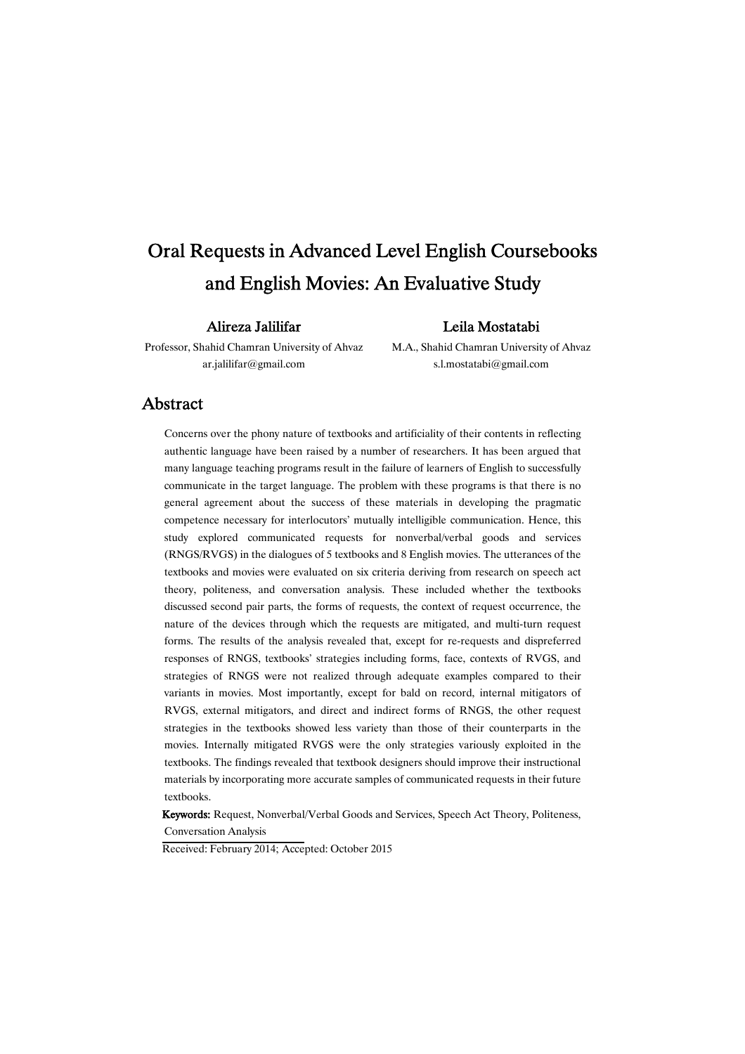# Oral Requests in Advanced Level English Coursebooks and English Movies: An Evaluative Study

### AlirezaJalilifar

### LeilaMostatabi

Professor, Shahid Chamran University of Ahvaz ar.jalilifar@gmail.com

M.A., Shahid Chamran University of Ahvaz s.l.mostatabi@gmail.com

### Abstract

Concerns over the phony nature of textbooks and artificiality of their contents in reflecting authentic language have been raised by a number of researchers. It has been argued that many language teaching programs result in the failure of learners of English to successfully communicate in the target language. The problem with these programs is that there is no general agreement about the success of these materials in developing the pragmatic competence necessary for interlocutors' mutually intelligible communication. Hence, this study explored communicated requests for nonverbal/verbal goods and services (RNGS/RVGS) in the dialogues of 5 textbooks and 8 English movies. The utterances of the textbooks and movies were evaluated on six criteria deriving from research on speech act theory, politeness, and conversation analysis. These included whether the textbooks discussed second pair parts, the forms of requests, the context of request occurrence, the nature of the devices through which the requests are mitigated, and multi-turn request forms. The results of the analysis revealed that, except for re-requests and dispreferred responses of RNGS, textbooks' strategies including forms, face, contexts of RVGS, and strategies of RNGS were not realized through adequate examples compared to their variants in movies. Most importantly, except for bald on record, internal mitigators of RVGS, external mitigators, and direct and indirect forms of RNGS, the other request strategies in the textbooks showed less variety than those of their counterparts in the movies. Internally mitigated RVGS were the only strategies variously exploited in the textbooks. The findings revealed that textbook designers should improve their instructional materials by incorporating more accurate samples of communicated requests in their future textbooks.

Keywords: Request, Nonverbal/Verbal Goods and Services, Speech Act Theory, Politeness, Conversation Analysis

Received: February 2014; Accepted: October 2015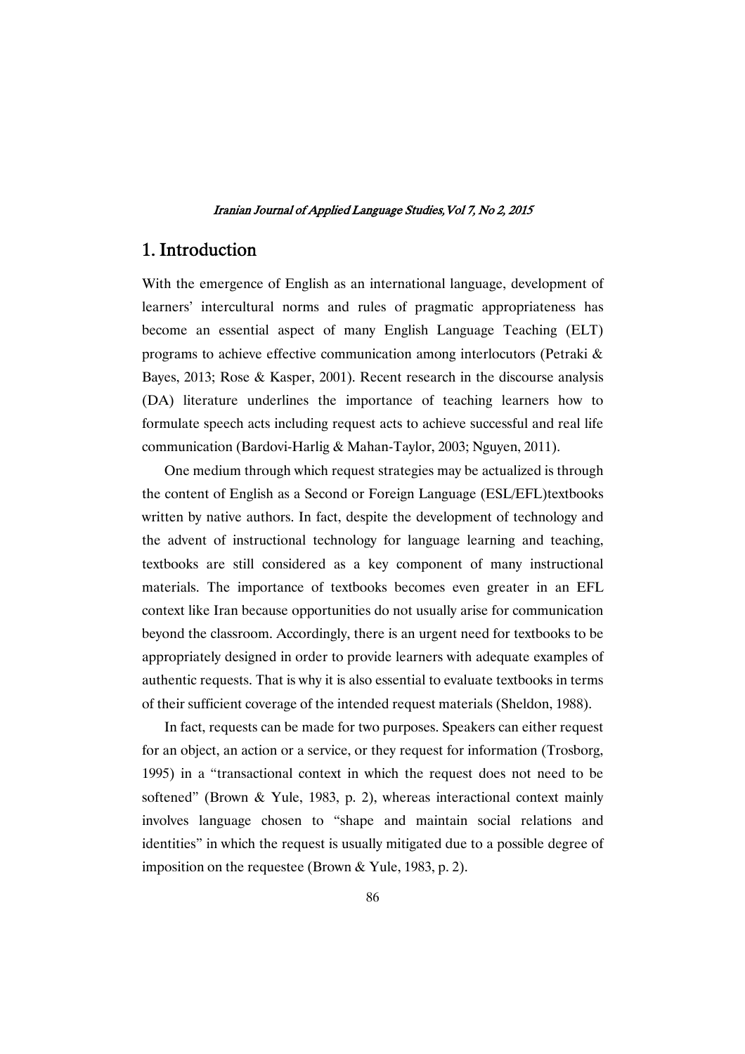# 1.Introduction

With the emergence of English as an international language, development of learners' intercultural norms and rules of pragmatic appropriateness has become an essential aspect of many English Language Teaching (ELT) programs to achieve effective communication among interlocutors (Petraki & Bayes, 2013; Rose & Kasper, 2001). Recent research in the discourse analysis (DA) literature underlines the importance of teaching learners how to formulate speech acts including request acts to achieve successful and real life communication (Bardovi-Harlig & Mahan-Taylor, 2003; Nguyen, 2011).

One medium through which request strategies may be actualized is through the content of English as a Second or Foreign Language (ESL/EFL)textbooks written by native authors. In fact, despite the development of technology and the advent of instructional technology for language learning and teaching, textbooks are still considered as a key component of many instructional materials. The importance of textbooks becomes even greater in an EFL context like Iran because opportunities do not usually arise for communication beyond the classroom. Accordingly, there is an urgent need for textbooks to be appropriately designed in order to provide learners with adequate examples of authentic requests. That is why it is also essential to evaluate textbooks in terms of their sufficient coverage of the intended request materials (Sheldon, 1988).

In fact, requests can be made for two purposes. Speakers can either request for an object, an action or a service, or they request for information (Trosborg, 1995) in a "transactional context in which the request does not need to be softened" (Brown & Yule, 1983, p. 2), whereas interactional context mainly involves language chosen to "shape and maintain social relations and identities" in which the request is usually mitigated due to a possible degree of imposition on the requestee (Brown & Yule, 1983, p. 2).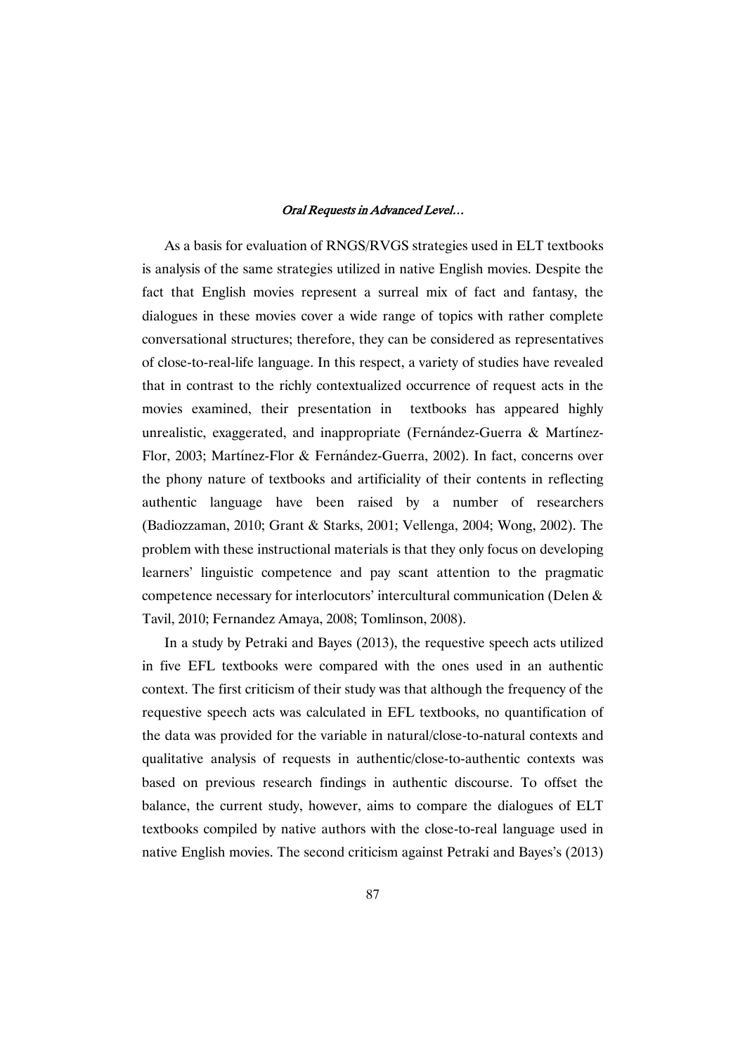As a basis for evaluation of RNGS/RVGS strategies used in ELT textbooks is analysis of the same strategies utilized in native English movies. Despite the fact that English movies represent a surreal mix of fact and fantasy, the dialogues in these movies cover a wide range of topics with rather complete conversational structures; therefore, they can be considered as representatives of close-to-real-life language. In this respect, a variety of studies have revealed that in contrast to the richly contextualized occurrence of request acts in the movies examined, their presentation in textbooks has appeared highly unrealistic, exaggerated, and inappropriate (Fernández-Guerra & Martínez-Flor, 2003; Martínez-Flor & Fernández-Guerra, 2002). In fact, concerns over the phony nature of textbooks and artificiality of their contents in reflecting authentic language have been raised by a number of researchers (Badiozzaman, 2010; Grant & Starks, 2001; Vellenga, 2004; Wong, 2002). The problem with these instructional materials is that they only focus on developing learners' linguistic competence and pay scant attention to the pragmatic competence necessary for interlocutors' intercultural communication (Delen & Tavil, 2010; Fernandez Amaya, 2008; Tomlinson, 2008).

In a study by Petraki and Bayes (2013), the requestive speech acts utilized in five EFL textbooks were compared with the ones used in an authentic context. The first criticism of their study was that although the frequency of the requestive speech acts was calculated in EFL textbooks, no quantification of the data was provided for the variable in natural/close-to-natural contexts and qualitative analysis of requests in authentic/close-to-authentic contexts was based on previous research findings in authentic discourse. To offset the balance, the current study, however, aims to compare the dialogues of ELT textbooks compiled by native authors with the close-to-real language used in native English movies. The second criticism against Petraki and Bayes's (2013)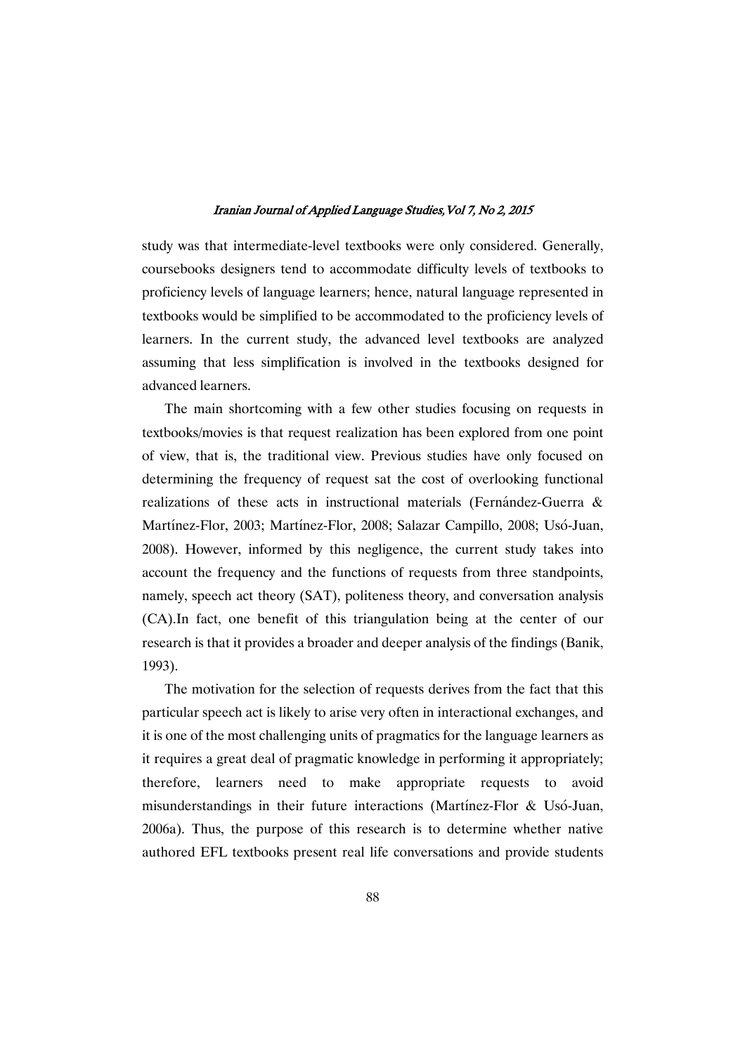study was that intermediate-level textbooks were only considered. Generally, coursebooks designers tend to accommodate difficulty levels of textbooks to proficiency levels of language learners; hence, natural language represented in textbooks would be simplified to be accommodated to the proficiency levels of learners. In the current study, the advanced level textbooks are analyzed assuming that less simplification is involved in the textbooks designed for advanced learners.

The main shortcoming with a few other studies focusing on requests in textbooks/movies is that request realization has been explored from one point of view, that is, the traditional view. Previous studies have only focused on determining the frequency of request sat the cost of overlooking functional realizations of these acts in instructional materials (Fernández-Guerra & Martínez-Flor, 2003; Martínez-Flor, 2008; Salazar Campillo, 2008; Usó-Juan, 2008). However, informed by this negligence, the current study takes into account the frequency and the functions of requests from three standpoints, namely, speech act theory (SAT), politeness theory, and conversation analysis (CA).In fact, one benefit of this triangulation being at the center of our research is that it provides a broader and deeper analysis of the findings (Banik, 1993).

The motivation for the selection of requests derives from the fact that this particular speech act is likely to arise very often in interactional exchanges, and it is one of the most challenging units of pragmatics for the language learners as it requires a great deal of pragmatic knowledge in performing it appropriately; therefore, learners need to make appropriate requests to avoid misunderstandings in their future interactions (Martínez-Flor & Usó-Juan, 2006a). Thus, the purpose of this research is to determine whether native authored EFL textbooks present real life conversations and provide students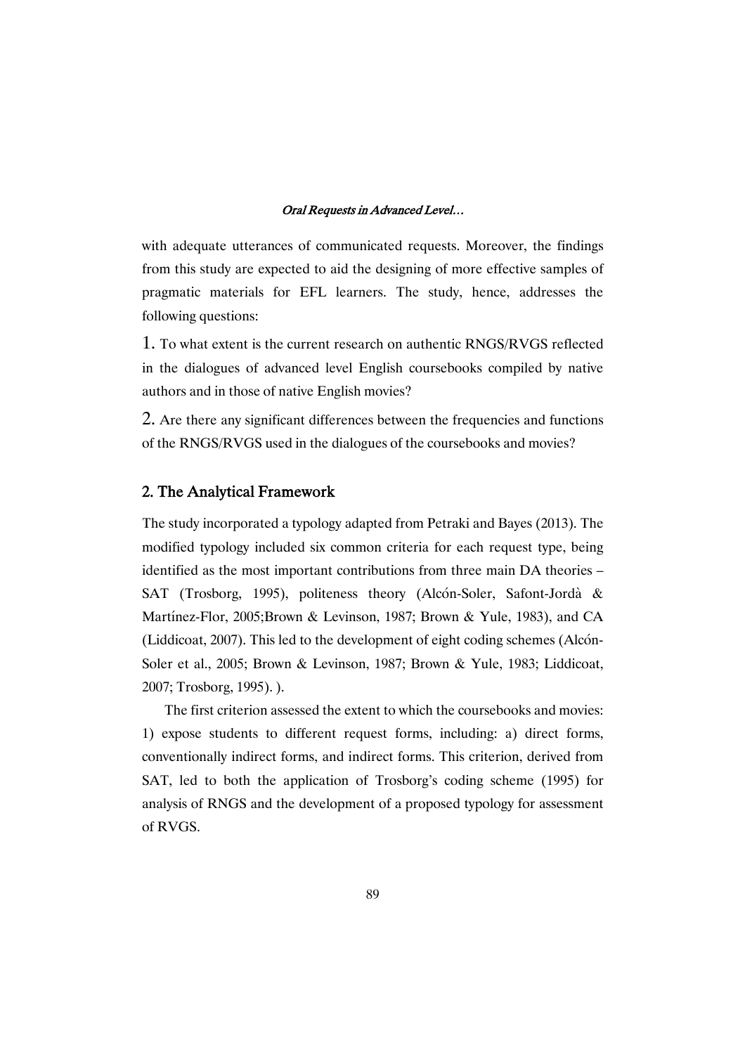with adequate utterances of communicated requests. Moreover, the findings from this study are expected to aid the designing of more effective samples of pragmatic materials for EFL learners. The study, hence, addresses the following questions:

1. To what extent is the current research on authentic RNGS/RVGS reflected in the dialogues of advanced level English coursebooks compiled by native authors and in those of native English movies?

2. Are there any significant differences between the frequencies and functions of the RNGS/RVGS used in the dialogues of the coursebooks and movies?

### 2. The Analytical Framework

The study incorporated a typology adapted from Petraki and Bayes (2013). The modified typology included six common criteria for each request type, being identified as the most important contributions from three main DA theories – SAT (Trosborg, 1995), politeness theory (Alcón-Soler, Safont-Jordà & Martínez-Flor, 2005;Brown & Levinson, 1987; Brown & Yule, 1983), and CA (Liddicoat, 2007). This led to the development of eight coding schemes (Alcón-Soler et al., 2005; Brown & Levinson, 1987; Brown & Yule, 1983; Liddicoat, 2007; Trosborg, 1995). ).

The first criterion assessed the extent to which the coursebooks and movies: 1) expose students to different request forms, including: a) direct forms, conventionally indirect forms, and indirect forms. This criterion, derived from SAT, led to both the application of Trosborg's coding scheme (1995) for analysis of RNGS and the development of a proposed typology for assessment of RVGS.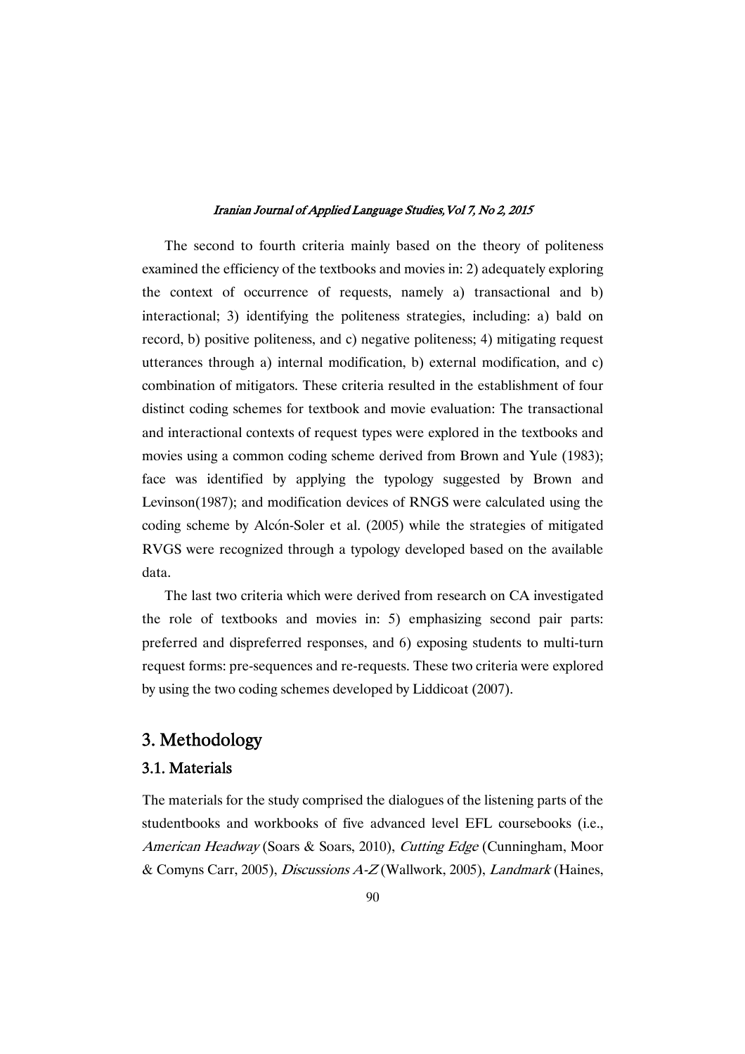The second to fourth criteria mainly based on the theory of politeness examined the efficiency of the textbooks and movies in: 2) adequately exploring the context of occurrence of requests, namely a) transactional and b) interactional; 3) identifying the politeness strategies, including: a) bald on record, b) positive politeness, and c) negative politeness; 4) mitigating request utterances through a) internal modification, b) external modification, and c) combination of mitigators. These criteria resulted in the establishment of four distinct coding schemes for textbook and movie evaluation: The transactional and interactional contexts of request types were explored in the textbooks and movies using a common coding scheme derived from Brown and Yule (1983); face was identified by applying the typology suggested by Brown and Levinson(1987); and modification devices of RNGS were calculated using the coding scheme by Alcón-Soler et al. (2005) while the strategies of mitigated RVGS were recognized through a typology developed based on the available data.

The last two criteria which were derived from research on CA investigated the role of textbooks and movies in: 5) emphasizing second pair parts: preferred and dispreferred responses, and 6) exposing students to multi-turn request forms: pre-sequences and re-requests. These two criteria were explored by using the two coding schemes developed by Liddicoat (2007).

# 3. Methodology

### 3.1.Materials

The materials for the study comprised the dialogues of the listening parts of the studentbooks and workbooks of five advanced level EFL coursebooks (i.e., American Headway (Soars & Soars, 2010), Cutting Edge (Cunningham, Moor & Comyns Carr, 2005), Discussions A-Z (Wallwork, 2005), Landmark (Haines,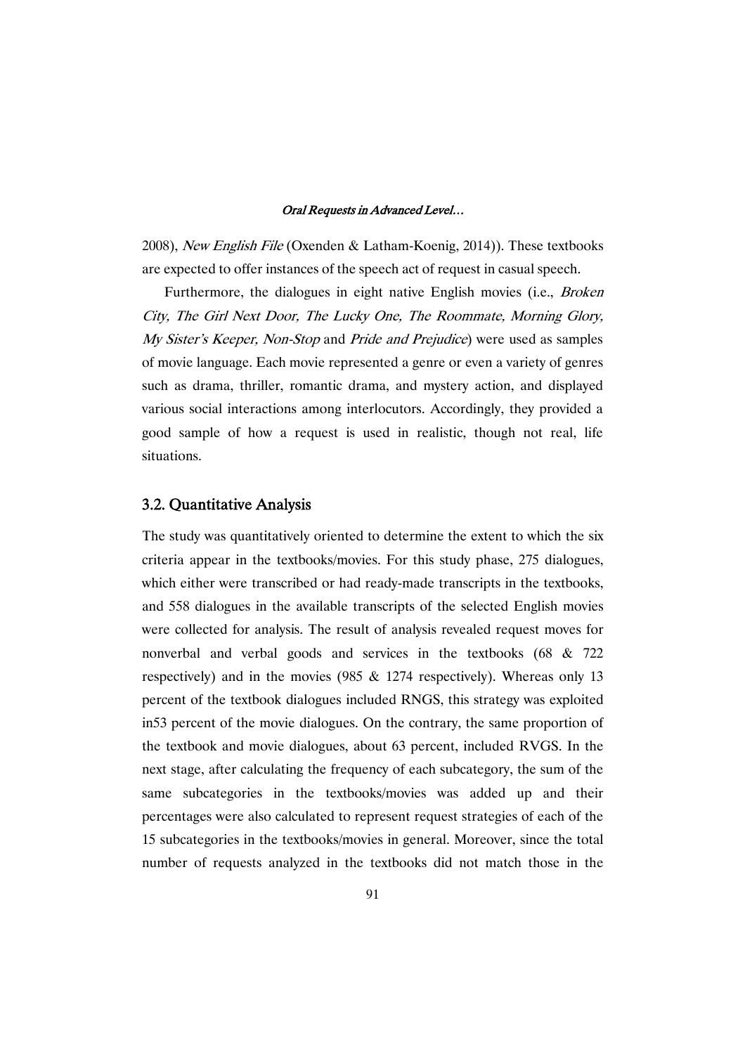2008), New English File (Oxenden & Latham-Koenig, 2014)). These textbooks are expected to offer instances of the speech act of request in casual speech.

Furthermore, the dialogues in eight native English movies (i.e., Broken City, The Girl Next Door, The Lucky One, The Roommate, Morning Glory, My Sister's Keeper, Non-Stop and Pride and Prejudice) were used as samples of movie language. Each movie represented a genre or even a variety of genres such as drama, thriller, romantic drama, and mystery action, and displayed various social interactions among interlocutors. Accordingly, they provided a good sample of how a request is used in realistic, though not real, life situations.

### 3.2. Quantitative Analysis

The study was quantitatively oriented to determine the extent to which the six criteria appear in the textbooks/movies. For this study phase, 275 dialogues, which either were transcribed or had ready-made transcripts in the textbooks, and 558 dialogues in the available transcripts of the selected English movies were collected for analysis. The result of analysis revealed request moves for nonverbal and verbal goods and services in the textbooks (68 & 722 respectively) and in the movies (985  $& 1274$  respectively). Whereas only 13 percent of the textbook dialogues included RNGS, this strategy was exploited in53 percent of the movie dialogues. On the contrary, the same proportion of the textbook and movie dialogues, about 63 percent, included RVGS. In the next stage, after calculating the frequency of each subcategory, the sum of the same subcategories in the textbooks/movies was added up and their percentages were also calculated to represent request strategies of each of the 15 subcategories in the textbooks/movies in general. Moreover, since the total number of requests analyzed in the textbooks did not match those in the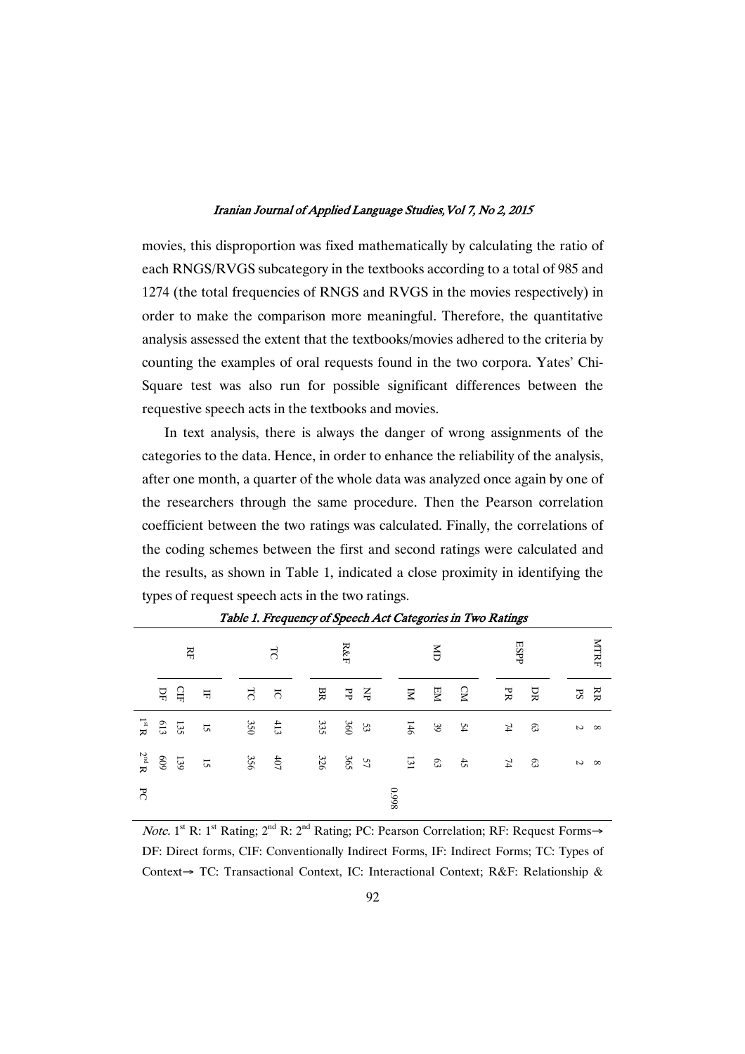movies, this disproportion was fixed mathematically by calculating the ratio of each RNGS/RVGS subcategory in the textbooks according to a total of 985 and 1274 (the total frequencies of RNGS and RVGS in the movies respectively) in order to make the comparison more meaningful. Therefore, the quantitative analysis assessed the extent that the textbooks/movies adhered to the criteria by counting the examples of oral requests found in the two corpora. Yates' Chi-Square test was also run for possible significant differences between the requestive speech acts in the textbooks and movies.

In text analysis, there is always the danger of wrong assignments of the categories to the data. Hence, in order to enhance the reliability of the analysis, after one month, a quarter of the whole data was analyzed once again by one of the researchers through the same procedure. Then the Pearson correlation coefficient between the two ratings was calculated. Finally, the correlations of the coding schemes between the first and second ratings were calculated and the results, as shown in Table 1, indicated a close proximity in identifying the types of request speech acts in the two ratings.

|                              |         | Ř       |                         |                | $\overline{5}$ |     | ${\rm R\&F}$ |       |      |       | ĕ  |               | ESPP            |    |               | MTRF     |
|------------------------------|---------|---------|-------------------------|----------------|----------------|-----|--------------|-------|------|-------|----|---------------|-----------------|----|---------------|----------|
|                              | ЪF      | GБ      | $\overline{\mathbf{H}}$ | $\overline{5}$ | $\overline{c}$ | BR  | $\rm{P}P$    | $\Xi$ |      | $\Xi$ | EМ | $\mathbf{S}$  | PR              | DR | $\mathbf{FS}$ | RR       |
| $\mathbf{R}^{\mathrm{st}}$ R | $613\,$ | 135     | $\overline{S}$          | 350            | $413$          | 335 | 360          | 53    |      | 146   | 39 | 54            | $\overline{74}$ | ය  | $\mathcal{L}$ | $\infty$ |
| $2^{n\mathrm{d}}$ R          | 609     | $6\xi1$ | $\overline{S}$          | 356            | $407$          | 326 | 365          | 57    |      | $131$ | 63 | $\frac{4}{5}$ | $\mathbf{74}$   | ය  | $\mathcal{L}$ | $\infty$ |
| $\mathcal{F}$                |         |         |                         |                |                |     |              |       | 8660 |       |    |               |                 |    |               |          |

Table 1. Frequency of Speech Act Categories in Two Ratings

*Note.* 1<sup>st</sup> R: 1<sup>st</sup> Rating;  $2^{nd}$  R:  $2^{nd}$  Rating; PC: Pearson Correlation; RF: Request Forms $\rightarrow$ DF: Direct forms, CIF: Conventionally Indirect Forms, IF: Indirect Forms; TC: Types of Context $\rightarrow$  TC: Transactional Context, IC: Interactional Context; R&F: Relationship &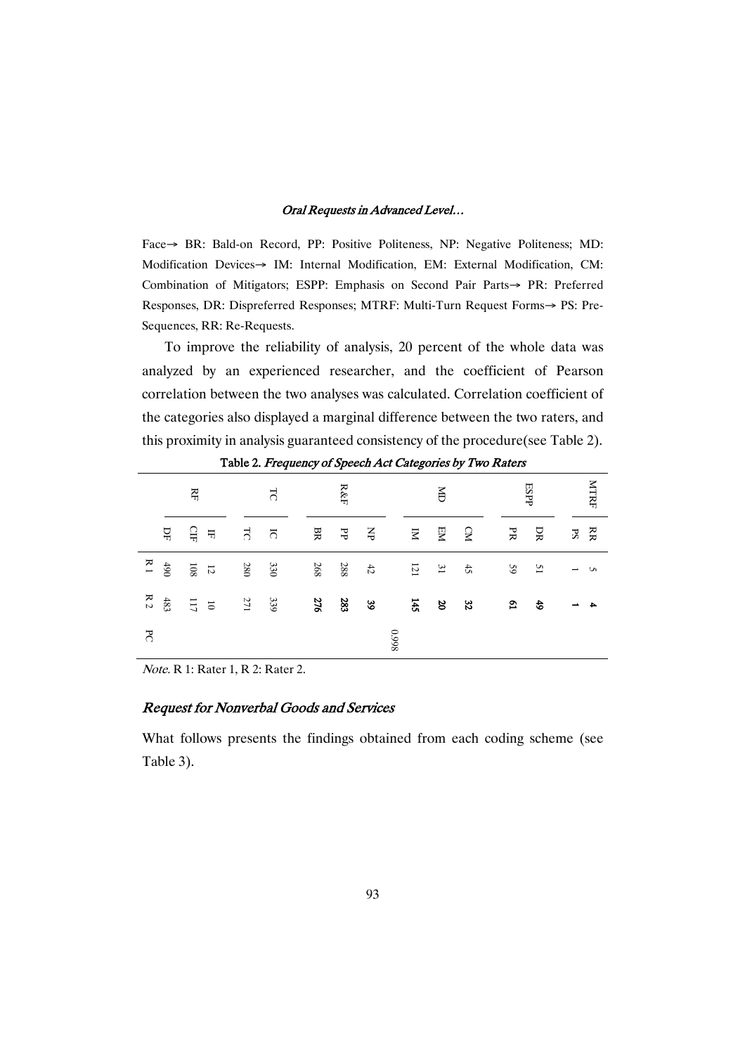Face > BR: Bald-on Record, PP: Positive Politeness, NP: Negative Politeness; MD: Modification Devices-> IM: Internal Modification, EM: External Modification, CM: Combination of Mitigators; ESPP: Emphasis on Second Pair Parts-> PR: Preferred Responses, DR: Dispreferred Responses; MTRF: Multi-Turn Request Forms $\rightarrow$  PS: Pre-Sequences, RR: Re-Requests.

To improve the reliability of analysis, 20 percent of the whole data was analyzed by an experienced researcher, and the coefficient of Pearson correlation between the two analyses was calculated. Correlation coefficient of the categories also displayed a marginal difference between the two raters, and this proximity in analysis guaranteed consistency of the procedure(see Table 2).

|    |                | ЯH             |                  |                | $\overline{5}$          |     | ${\rm R\&F}$ |                      |       |                 | Š               |           |                           | ESPP           |             | MTRF |
|----|----------------|----------------|------------------|----------------|-------------------------|-----|--------------|----------------------|-------|-----------------|-----------------|-----------|---------------------------|----------------|-------------|------|
|    | $\overline{D}$ | 읍              | $\overline{\pi}$ | $\overline{5}$ | $\overline{c}$          | BR  | ЪЪ           | $\breve{\mathsf{S}}$ |       | $\mathbbmss{Z}$ | EМ              | <b>CM</b> | PR                        | ЭR             | $S_{\rm d}$ | RR   |
| R1 | $06t$          | $80\mathrm{I}$ | $\vec{z}$        | <b>280</b>     | $\partial \mathfrak{E}$ | 268 | 288          | $42\,$               |       | $121\,$         | $\mathfrak{Z}1$ | $42\,$    | 59                        | $\overline{5}$ |             | S    |
| R2 | $483\,$        | $\Xi$          | $\vec{v}$        | $LZ$           | 339                     | 276 | 283          | $\mathfrak{g}9$      |       | 145             | 20              | 32        | $\boldsymbol{\mathsf{c}}$ | 49             |             | ₳    |
| ЪC |                |                |                  |                |                         |     |              |                      | 86600 |                 |                 |           |                           |                |             |      |

Table 2. Frequency of Speech Act Categories by Two Raters

Note. R 1: Rater 1, R 2: Rater 2.

### Request for Nonverbal Goods and Services

What follows presents the findings obtained from each coding scheme (see Table 3).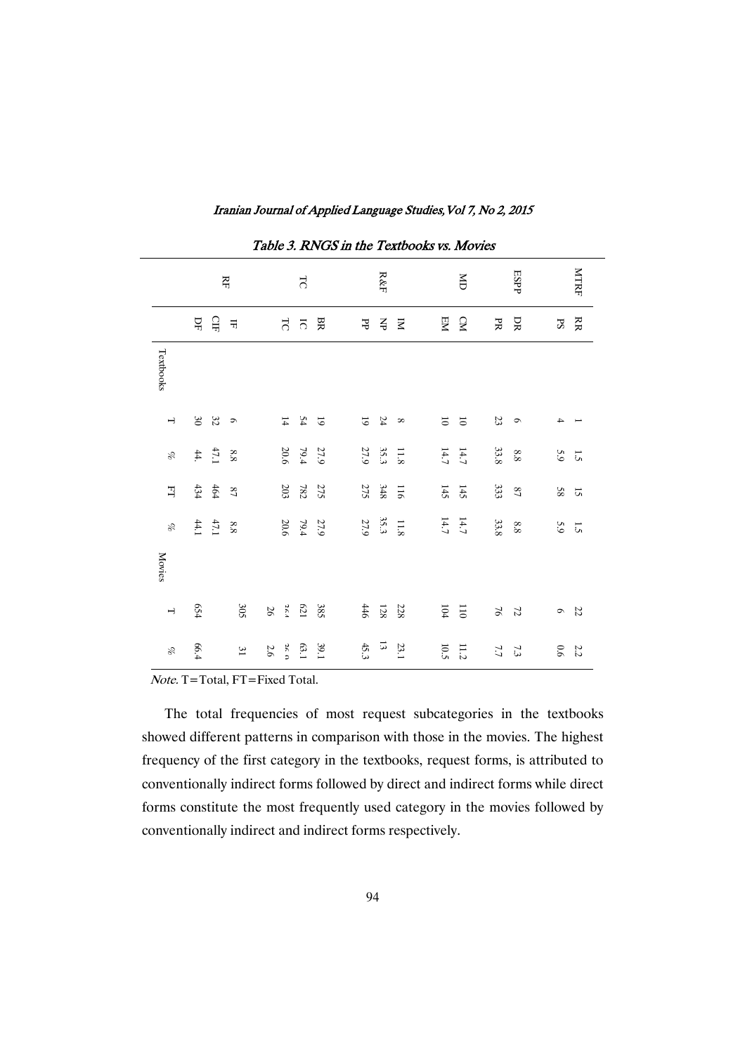|                          |         |                                              | RF              |         |             | $\overline{5}$      |                |                | ${\rm R\&F}$                                 |                         |                         | ă                       |               | ESPP                     |             | <b>NTRF</b>          |
|--------------------------|---------|----------------------------------------------|-----------------|---------|-------------|---------------------|----------------|----------------|----------------------------------------------|-------------------------|-------------------------|-------------------------|---------------|--------------------------|-------------|----------------------|
|                          | $\rm H$ | $\Omega_{\rm H}$                             | 귺               |         | P.          | $\overline{\Omega}$ | BR             | ЪP             | ¥                                            | $\overline{\mathbf{z}}$ | EM                      | <b>CM</b>               | PR            | DR                       | $_{\rm PS}$ | RR                   |
| Textbooks                |         |                                              |                 |         |             |                     |                |                |                                              |                         |                         |                         |               |                          |             |                      |
| $\rightarrow$            | $30\,$  | 32                                           | $\mathfrak{D}$  |         |             | $\frac{5}{4}$ 14    | $\overline{6}$ | $\overline{6}$ | 24                                           | $\infty$                | $\overline{\textbf{c}}$ | $\overline{\mathsf{o}}$ | $23\,$        | $\bullet$                | 4           |                      |
| X,                       |         | $\begin{array}{cc} 47.1 \\ 44.1 \end{array}$ | 8.8             |         | 20.6        | 79.4                | 27.9           | 27.9           | $11.8$<br>35.3                               |                         | 14.7                    | 14.7                    | 33.8          | $8.8\,$                  | 5.9         | $5\overline{)}$      |
| 긕                        | 434     | $464$                                        | $^{22}$         |         | $203\,$     | $78\%$              | <b>275</b>     | 275            | $348\,$                                      | $\overrightarrow{5}$    | $145$                   | 51                      | 333           | $\mathcal{S}\mathcal{T}$ | $58\,$      | $\overrightarrow{S}$ |
| X,                       |         | 47.1                                         | 8.8             |         | $20.6\,$    | 10.4                | 27.9           |                | $\begin{array}{cc} 35.3 \\ 27.9 \end{array}$ | 811                     | $14.7$<br>$14.7$        |                         | 33.8          | $8.8\,$                  | 5.9         | $5\overline{)}$      |
| <b>Movies</b>            |         |                                              |                 |         |             |                     |                |                |                                              |                         |                         |                         |               |                          |             |                      |
| $\overline{\phantom{a}}$ | 654     |                                              | 305             | $26\,$  | 261         | 129                 | 385            | $446\,$        | $128\,$                                      | 228                     | $104\,$                 | $\overline{5}$          | $\frac{1}{2}$ | $\mathcal{L}$            | $\bullet$   | 22                   |
| oz                       | 66.4    |                                              | $\mathfrak{Z}1$ | $2.6\,$ | <b>26 D</b> | 63.1                | 39.1           | 45.3           | $\overline{3}$                               | 23.1                    | $10.5\,$                | 11.2                    | 7.7           | 7.3                      | 0.6         | 2.2                  |

Iranian Journal of Applied Language Studies, Vol 7, No 2, 2015

Table 3. RNGS in the Textbooks vs. Movies

Note. T=Total, FT=Fixed Total.

The total frequencies of most request subcategories in the textbooks showed different patterns in comparison with those in the movies. The highest frequency of the first category in the textbooks, request forms, is attributed to conventionally indirect forms followed by direct and indirect forms while direct forms constitute the most frequently used category in the movies followed by conventionally indirect and indirect forms respectively.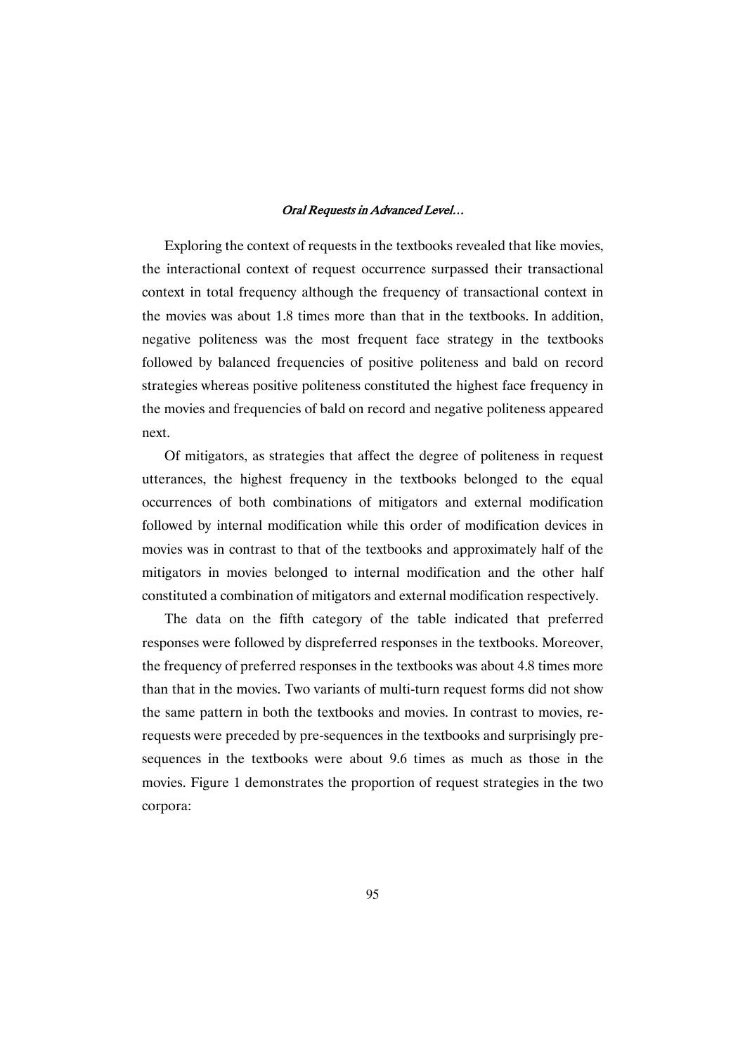Exploring the context of requests in the textbooks revealed that like movies, the interactional context of request occurrence surpassed their transactional context in total frequency although the frequency of transactional context in the movies was about 1.8 times more than that in the textbooks. In addition, negative politeness was the most frequent face strategy in the textbooks followed by balanced frequencies of positive politeness and bald on record strategies whereas positive politeness constituted the highest face frequency in the movies and frequencies of bald on record and negative politeness appeared next.

Of mitigators, as strategies that affect the degree of politeness in request utterances, the highest frequency in the textbooks belonged to the equal occurrences of both combinations of mitigators and external modification followed by internal modification while this order of modification devices in movies was in contrast to that of the textbooks and approximately half of the mitigators in movies belonged to internal modification and the other half constituted a combination of mitigators and external modification respectively.

The data on the fifth category of the table indicated that preferred responses were followed by dispreferred responses in the textbooks. Moreover, the frequency of preferred responses in the textbooks was about 4.8 times more than that in the movies. Two variants of multi-turn request forms did not show the same pattern in both the textbooks and movies. In contrast to movies, rerequests were preceded by pre-sequences in the textbooks and surprisingly presequences in the textbooks were about 9.6 times as much as those in the movies. Figure 1 demonstrates the proportion of request strategies in the two corpora: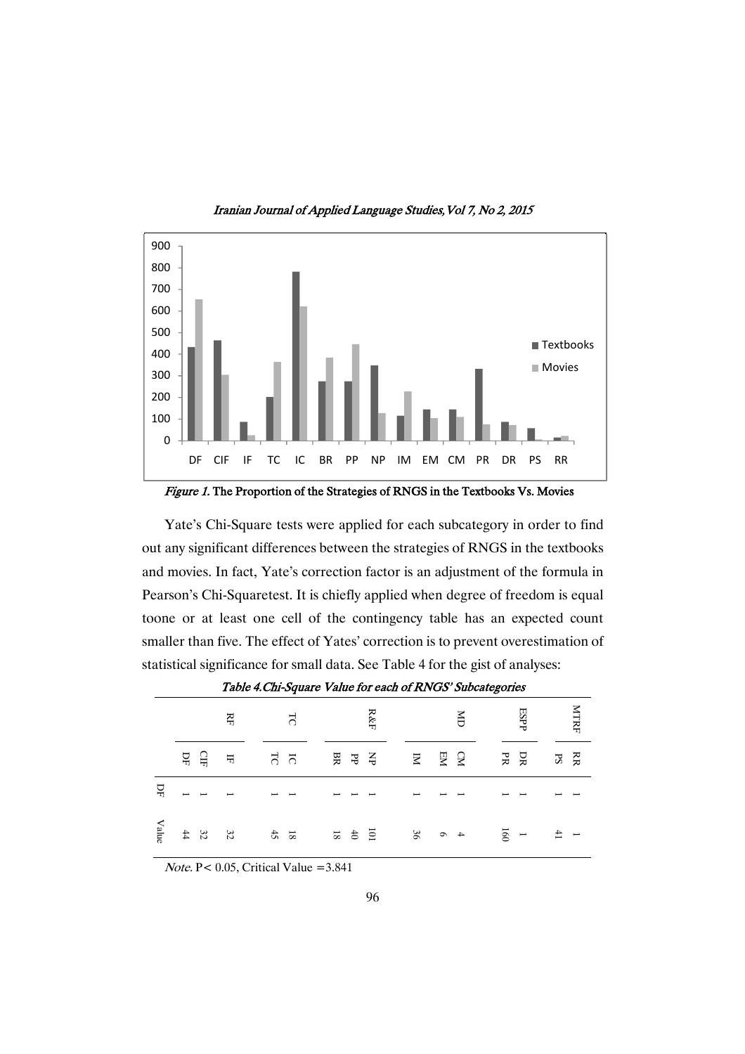

Iranian Journal of Applied Language Studies, Vol 7, No 2, 2015

Figure 1. The Proportion of the Strategies of RNGS in the Textbooks Vs. Movies

Yate's Chi-Square tests were applied for each subcategory in order to find out any significant differences between the strategies of RNGS in the textbooks and movies. In fact, Yate's correction factor is an adjustment of the formula in Pearson's Chi-Squaretest. It is chiefly applied when degree of freedom is equal toone or at least one cell of the contingency table has an expected count smaller than five. The effect of Yates' correction is to prevent overestimation of statistical significance for small data. See Table 4 for the gist of analyses:

|                               |                                                | Ę             | LC                                                                                                                                                                                                                                                                                                                                                                                           |  |              |                                                                                                                                                                                                                                                                                                                                                                                              | $R\&F$ |                          | $\delta$ |                |                 | <b>ESPP</b> |               | «ття⊧ |
|-------------------------------|------------------------------------------------|---------------|----------------------------------------------------------------------------------------------------------------------------------------------------------------------------------------------------------------------------------------------------------------------------------------------------------------------------------------------------------------------------------------------|--|--------------|----------------------------------------------------------------------------------------------------------------------------------------------------------------------------------------------------------------------------------------------------------------------------------------------------------------------------------------------------------------------------------------------|--------|--------------------------|----------|----------------|-----------------|-------------|---------------|-------|
|                               | 뮤 뮤                                            | $\frac{1}{2}$ | 5 F                                                                                                                                                                                                                                                                                                                                                                                          |  | <b>BBBBB</b> |                                                                                                                                                                                                                                                                                                                                                                                              |        |                          |          | <b>RRS RRS</b> |                 |             | <b>R</b><br>R |       |
| $\Delta$                      |                                                |               | $\frac{1}{1} \frac{1}{1} \frac{1}{1} \frac{1}{1} \frac{1}{1} \frac{1}{1} \frac{1}{1} \frac{1}{1} \frac{1}{1} \frac{1}{1} \frac{1}{1} \frac{1}{1} \frac{1}{1} \frac{1}{1} \frac{1}{1} \frac{1}{1} \frac{1}{1} \frac{1}{1} \frac{1}{1} \frac{1}{1} \frac{1}{1} \frac{1}{1} \frac{1}{1} \frac{1}{1} \frac{1}{1} \frac{1}{1} \frac{1}{1} \frac{1}{1} \frac{1}{1} \frac{1}{1} \frac{1}{1} \frac{$ |  |              | $\frac{1}{2} \frac{1}{2} \frac{1}{2} \frac{1}{2} \frac{1}{2} \frac{1}{2} \frac{1}{2} \frac{1}{2} \frac{1}{2} \frac{1}{2} \frac{1}{2} \frac{1}{2} \frac{1}{2} \frac{1}{2} \frac{1}{2} \frac{1}{2} \frac{1}{2} \frac{1}{2} \frac{1}{2} \frac{1}{2} \frac{1}{2} \frac{1}{2} \frac{1}{2} \frac{1}{2} \frac{1}{2} \frac{1}{2} \frac{1}{2} \frac{1}{2} \frac{1}{2} \frac{1}{2} \frac{1}{2} \frac{$ |        | $\overline{\phantom{a}}$ |          |                |                 |             |               |       |
| $\ensuremath{\mathbf{Value}}$ | $\begin{array}{cc} 3 & 3 \\ 4 & 4 \end{array}$ |               | $\frac{1}{3}$                                                                                                                                                                                                                                                                                                                                                                                |  | $101$ 46     |                                                                                                                                                                                                                                                                                                                                                                                              |        | 4 0 30                   |          |                | $\frac{1}{160}$ |             | $-4$          |       |

Table 4. Chi-Square Value for each of RNGS' Subcategories

Note. P< 0.05, Critical Value =3.841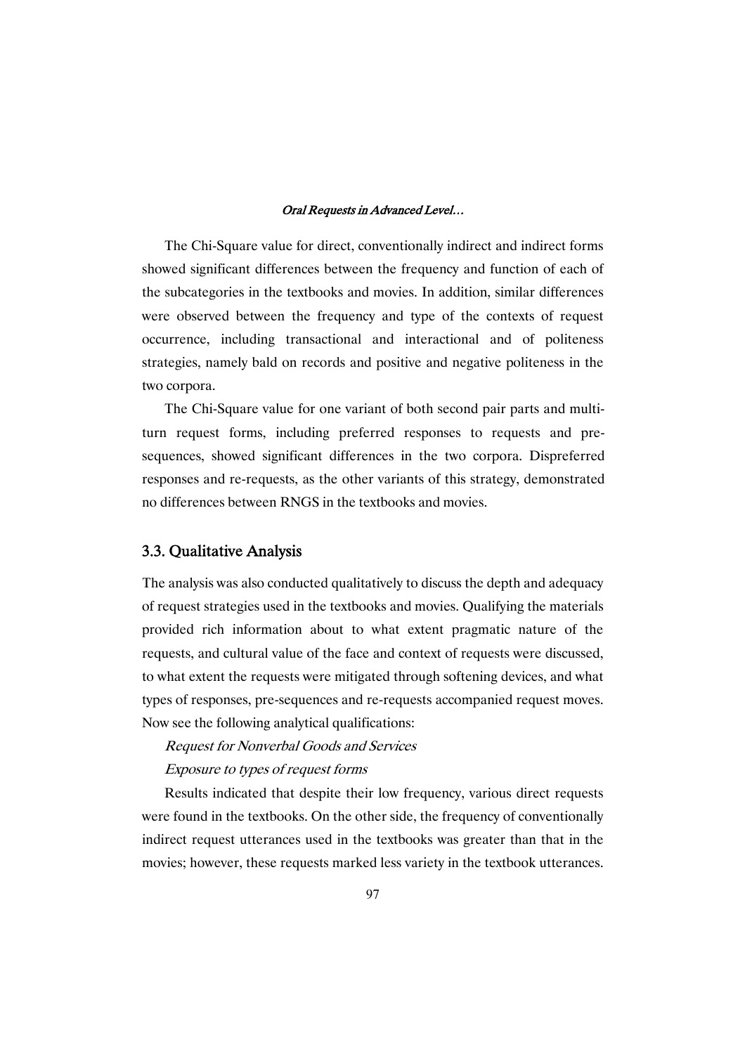The Chi-Square value for direct, conventionally indirect and indirect forms showed significant differences between the frequency and function of each of the subcategories in the textbooks and movies. In addition, similar differences were observed between the frequency and type of the contexts of request occurrence, including transactional and interactional and of politeness strategies, namely bald on records and positive and negative politeness in the two corpora.

The Chi-Square value for one variant of both second pair parts and multiturn request forms, including preferred responses to requests and presequences, showed significant differences in the two corpora. Dispreferred responses and re-requests, as the other variants of this strategy, demonstrated no differences between RNGS in the textbooks and movies.

### 3.3.QualitativeAnalysis

The analysis was also conducted qualitatively to discuss the depth and adequacy of request strategies used in the textbooks and movies. Qualifying the materials provided rich information about to what extent pragmatic nature of the requests, and cultural value of the face and context of requests were discussed, to what extent the requests were mitigated through softening devices, and what types of responses, pre-sequences and re-requests accompanied request moves. Now see the following analytical qualifications:

# Request for Nonverbal Goods and Services Exposure to types of request forms

Results indicated that despite their low frequency, various direct requests were found in the textbooks. On the other side, the frequency of conventionally indirect request utterances used in the textbooks was greater than that in the movies; however, these requests marked less variety in the textbook utterances.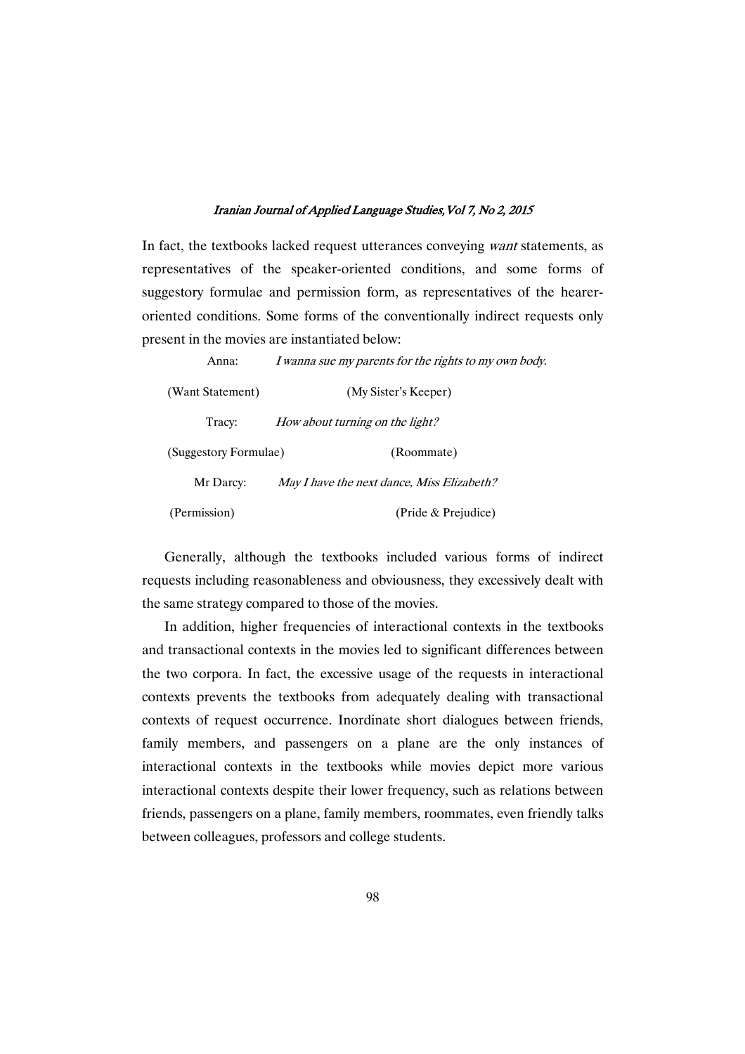In fact, the textbooks lacked request utterances conveying want statements, as representatives of the speaker-oriented conditions, and some forms of suggestory formulae and permission form, as representatives of the heareroriented conditions. Some forms of the conventionally indirect requests only present in the movies are instantiated below:

Anna: *I wanna sue my parents for the rights to my own body*. (Want Statement) (My Sister's Keeper) Tracy: How about turning on the light? (Suggestory Formulae) (Roommate) Mr Darcy: May I have the next dance, Miss Elizabeth? (Permission) (Pride & Prejudice)

Generally, although the textbooks included various forms of indirect requests including reasonableness and obviousness, they excessively dealt with the same strategy compared to those of the movies.

In addition, higher frequencies of interactional contexts in the textbooks and transactional contexts in the movies led to significant differences between the two corpora. In fact, the excessive usage of the requests in interactional contexts prevents the textbooks from adequately dealing with transactional contexts of request occurrence. Inordinate short dialogues between friends, family members, and passengers on a plane are the only instances of interactional contexts in the textbooks while movies depict more various interactional contexts despite their lower frequency, such as relations between friends, passengers on a plane, family members, roommates, even friendly talks between colleagues, professors and college students.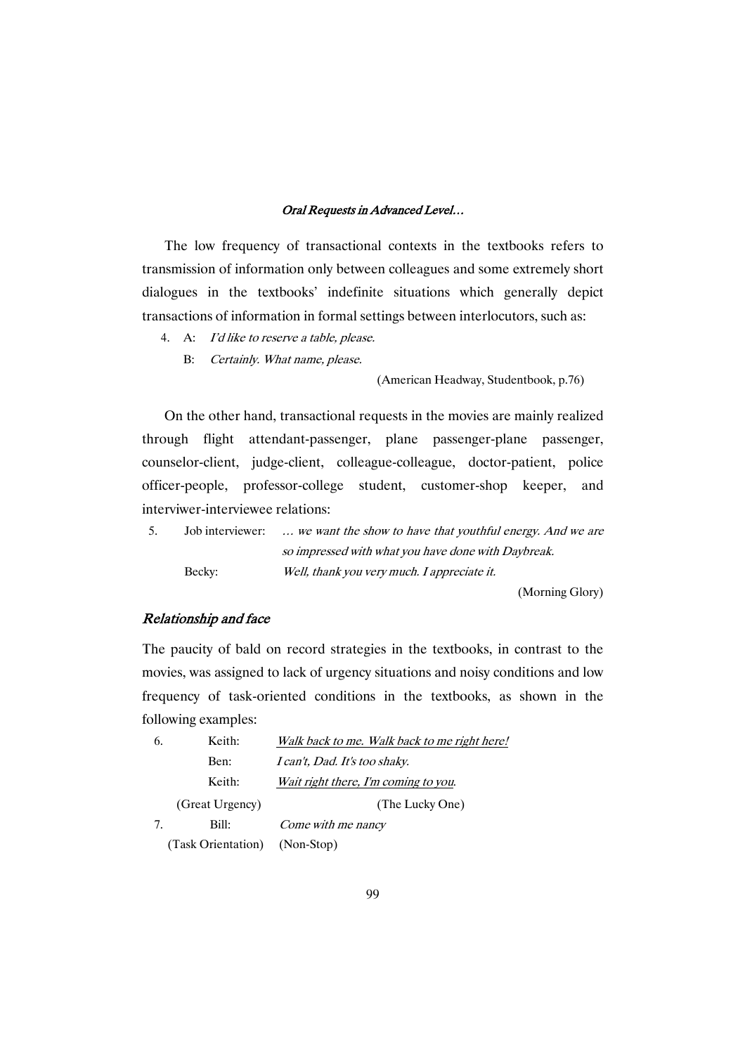The low frequency of transactional contexts in the textbooks refers to transmission of information only between colleagues and some extremely short dialogues in the textbooks' indefinite situations which generally depict transactions of information in formal settings between interlocutors, such as:

4. A: I'd like to reserve <sup>a</sup> table, please.

B: Certainly. What name, please.

(American Headway, Studentbook, p.76)

On the other hand, transactional requests in the movies are mainly realized through flight attendant-passenger, plane passenger-plane passenger, counselor-client, judge-client, colleague-colleague, doctor-patient, police officer-people, professor-college student, customer-shop keeper, and interviwer-interviewee relations:

| 5. |        | Job interviewer:  we want the show to have that youthful energy. And we are |
|----|--------|-----------------------------------------------------------------------------|
|    |        | so impressed with what you have done with Daybreak.                         |
|    | Becky: | Well, thank you very much. I appreciate it.                                 |

(Morning Glory)

### Relationship and face

The paucity of bald on record strategies in the textbooks, in contrast to the movies, was assigned to lack of urgency situations and noisy conditions and low frequency of task-oriented conditions in the textbooks, as shown in the following examples:

| 6. | Keith:             | Walk back to me. Walk back to me right here! |
|----|--------------------|----------------------------------------------|
|    | Ben:               | I can't, Dad. It's too shaky.                |
|    | Keith:             | Wait right there, I'm coming to you.         |
|    | (Great Urgency)    | (The Lucky One)                              |
| 7. | Bill:              | Come with me nancy                           |
|    | (Task Orientation) | (Non-Stop)                                   |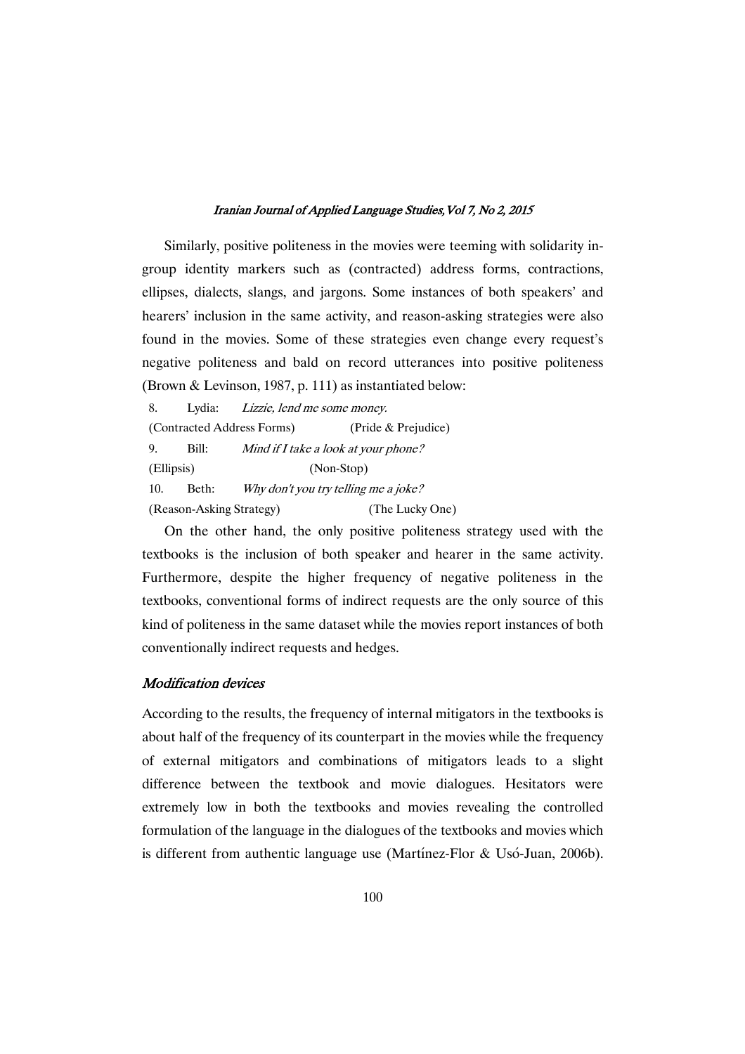Similarly, positive politeness in the movies were teeming with solidarity ingroup identity markers such as (contracted) address forms, contractions, ellipses, dialects, slangs, and jargons. Some instances of both speakers' and hearers' inclusion in the same activity, and reason-asking strategies were also found in the movies. Some of these strategies even change every request's negative politeness and bald on record utterances into positive politeness (Brown & Levinson, 1987, p. 111) as instantiated below:

8. Lydia: Lizzie, lend me some money. (Contracted Address Forms) (Pride & Prejudice) 9. Bill: Mind if <sup>I</sup> take <sup>a</sup> look at your phone? (Ellipsis) (Non-Stop) 10. Beth: Why don't you try telling me a joke? (Reason-Asking Strategy) (The Lucky One)

On the other hand, the only positive politeness strategy used with the textbooks is the inclusion of both speaker and hearer in the same activity. Furthermore, despite the higher frequency of negative politeness in the textbooks, conventional forms of indirect requests are the only source of this kind of politeness in the same dataset while the movies report instances of both conventionally indirect requests and hedges.

### **Modification devices**

According to the results, the frequency of internal mitigators in the textbooks is about half of the frequency of its counterpart in the movies while the frequency of external mitigators and combinations of mitigators leads to a slight difference between the textbook and movie dialogues. Hesitators were extremely low in both the textbooks and movies revealing the controlled formulation of the language in the dialogues of the textbooks and movies which is different from authentic language use (Martínez-Flor & Usó-Juan, 2006b).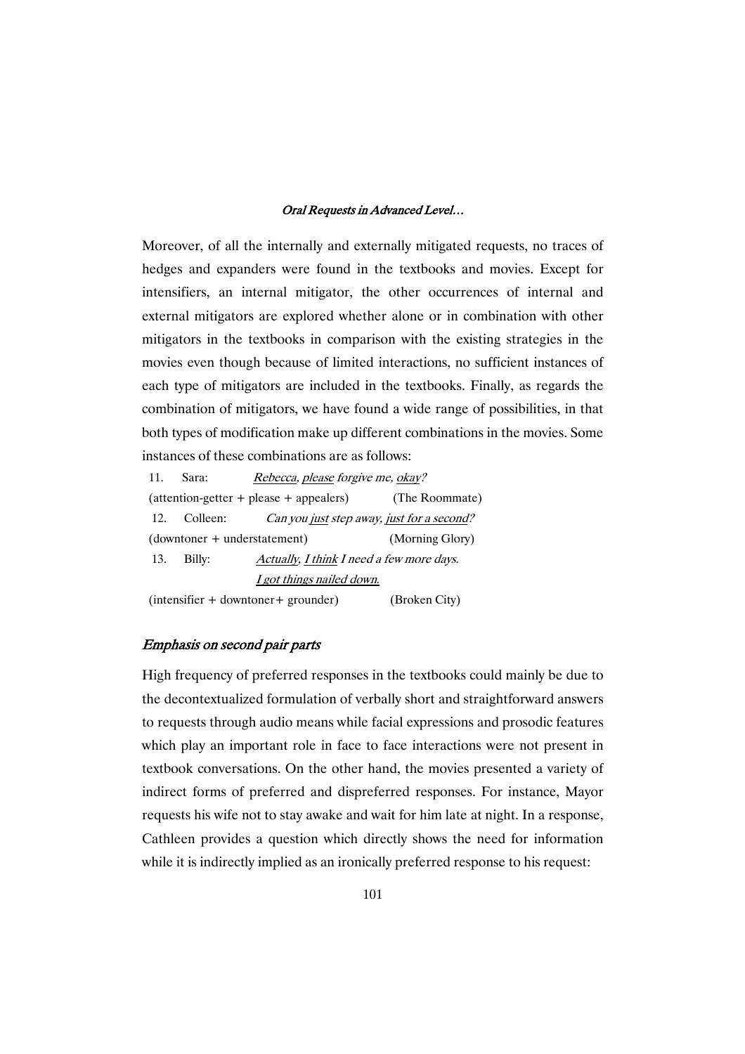Moreover, of all the internally and externally mitigated requests, no traces of hedges and expanders were found in the textbooks and movies. Except for intensifiers, an internal mitigator, the other occurrences of internal and external mitigators are explored whether alone or in combination with other mitigators in the textbooks in comparison with the existing strategies in the movies even though because of limited interactions, no sufficient instances of each type of mitigators are included in the textbooks. Finally, as regards the combination of mitigators, we have found a wide range of possibilities, in that both types of modification make up different combinations in the movies. Some instances of these combinations are as follows:

11. Sara: Rebecca, please forgive me, okay? (attention-getter + please + appealers) (The Roommate) 12. Colleen: Can you just step away, just for a second? (downtoner + understatement) (Morning Glory) 13. Billy: Actually, I think I need a few more days. <sup>I</sup> got things nailed down. (intensifier + downtoner+ grounder) (Broken City)

### Emphasis on second pair parts

High frequency of preferred responses in the textbooks could mainly be due to the decontextualized formulation of verbally short and straightforward answers to requests through audio means while facial expressions and prosodic features which play an important role in face to face interactions were not present in textbook conversations. On the other hand, the movies presented a variety of indirect forms of preferred and dispreferred responses. For instance, Mayor requests his wife not to stay awake and wait for him late at night. In a response, Cathleen provides a question which directly shows the need for information while it is indirectly implied as an ironically preferred response to his request: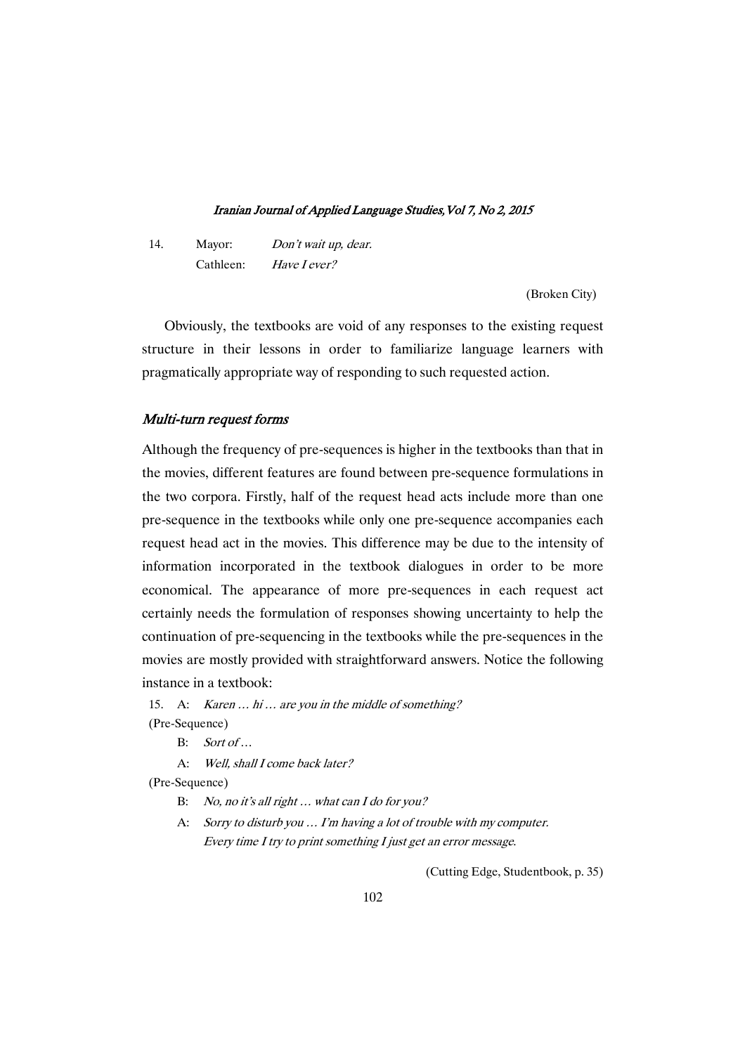14. Mayor: Don't wait up, dear. Cathleen: Have <sup>I</sup> ever?

(Broken City)

Obviously, the textbooks are void of any responses to the existing request structure in their lessons in order to familiarize language learners with pragmatically appropriate way of responding to such requested action.

### Multi-turn request forms

Although the frequency of pre-sequences is higher in the textbooks than that in the movies, different features are found between pre-sequence formulations in the two corpora. Firstly, half of the request head acts include more than one pre-sequence in the textbooks while only one pre-sequence accompanies each request head act in the movies. This difference may be due to the intensity of information incorporated in the textbook dialogues in order to be more economical. The appearance of more pre-sequences in each request act certainly needs the formulation of responses showing uncertainty to help the continuation of pre-sequencing in the textbooks while the pre-sequences in the movies are mostly provided with straightforward answers. Notice the following instance in a textbook:

15. A: Karen ... hi ... are you in the middle of something? (Pre-Sequence)

B: Sort of …

A: Well, shall <sup>I</sup> come back later?

(Pre-Sequence)

B: No, no it's all right ... what can I do for you?

A: Sorry to disturb you … I'm having <sup>a</sup> lot of trouble with my computer. Every time <sup>I</sup> try to print something <sup>I</sup> just get an error message.

(Cutting Edge, Studentbook, p. 35)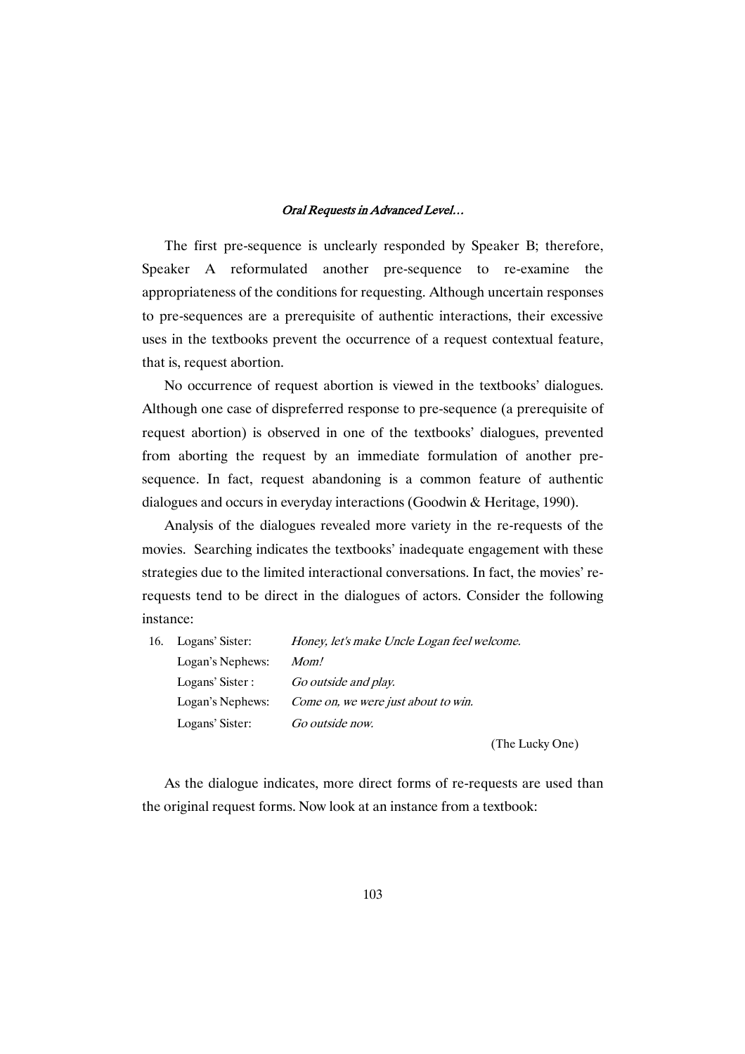The first pre-sequence is unclearly responded by Speaker B; therefore, Speaker A reformulated another pre-sequence to re-examine the appropriateness of the conditions for requesting. Although uncertain responses to pre-sequences are a prerequisite of authentic interactions, their excessive uses in the textbooks prevent the occurrence of a request contextual feature, that is, request abortion.

No occurrence of request abortion is viewed in the textbooks' dialogues. Although one case of dispreferred response to pre-sequence (a prerequisite of request abortion) is observed in one of the textbooks' dialogues, prevented from aborting the request by an immediate formulation of another presequence. In fact, request abandoning is a common feature of authentic dialogues and occurs in everyday interactions (Goodwin & Heritage, 1990).

Analysis of the dialogues revealed more variety in the re-requests of the movies. Searching indicates the textbooks' inadequate engagement with these strategies due to the limited interactional conversations. In fact, the movies' rerequests tend to be direct in the dialogues of actors. Consider the following instance:

| 16. Logans' Sister: | Honey, let's make Uncle Logan feel welcome. |
|---------------------|---------------------------------------------|
| Logan's Nephews:    | Mom!                                        |
| Logans' Sister :    | Go outside and play.                        |
| Logan's Nephews:    | Come on, we were just about to win.         |
| Logans' Sister:     | Go outside now.                             |
|                     |                                             |

(The Lucky One)

As the dialogue indicates, more direct forms of re-requests are used than the original request forms. Now look at an instance from a textbook: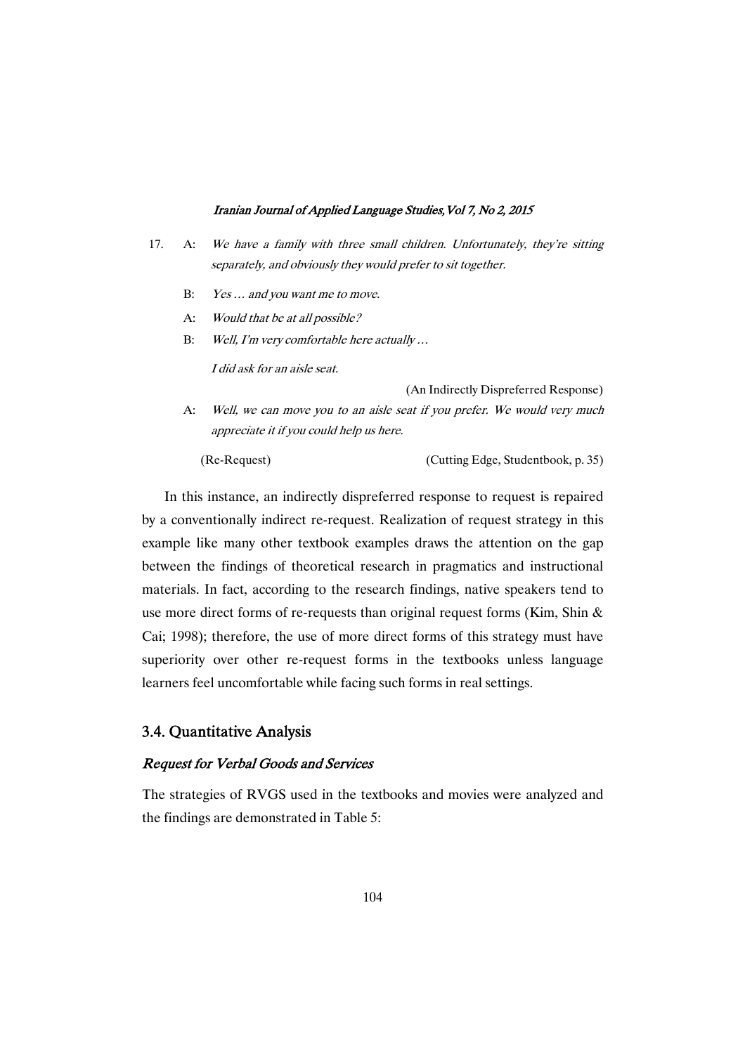- 17. A: We have <sup>a</sup> family with three small children. Unfortunately, they're sitting separately, and obviously they would prefer to sit together.
	- B: Yes ... and you want me to move.
	- A: Would that be at all possible?
	- B: Well, I'm very comfortable here actually …

I did ask for an aisle seat.

(An Indirectly Dispreferred Response)

A: Well, we can move you to an aisle seat if you prefer. We would very much appreciate it if you could help us here.

(Re-Request) (Cutting Edge, Studentbook, p. 35)

In this instance, an indirectly dispreferred response to request is repaired by a conventionally indirect re-request. Realization of request strategy in this example like many other textbook examples draws the attention on the gap between the findings of theoretical research in pragmatics and instructional materials. In fact, according to the research findings, native speakers tend to use more direct forms of re-requests than original request forms (Kim, Shin & Cai; 1998); therefore, the use of more direct forms of this strategy must have superiority over other re-request forms in the textbooks unless language learners feel uncomfortable while facing such forms in real settings.

### 3.4.QuantitativeAnalysis

### Request for Verbal Goods and Services

The strategies of RVGS used in the textbooks and movies were analyzed and the findings are demonstrated in Table 5: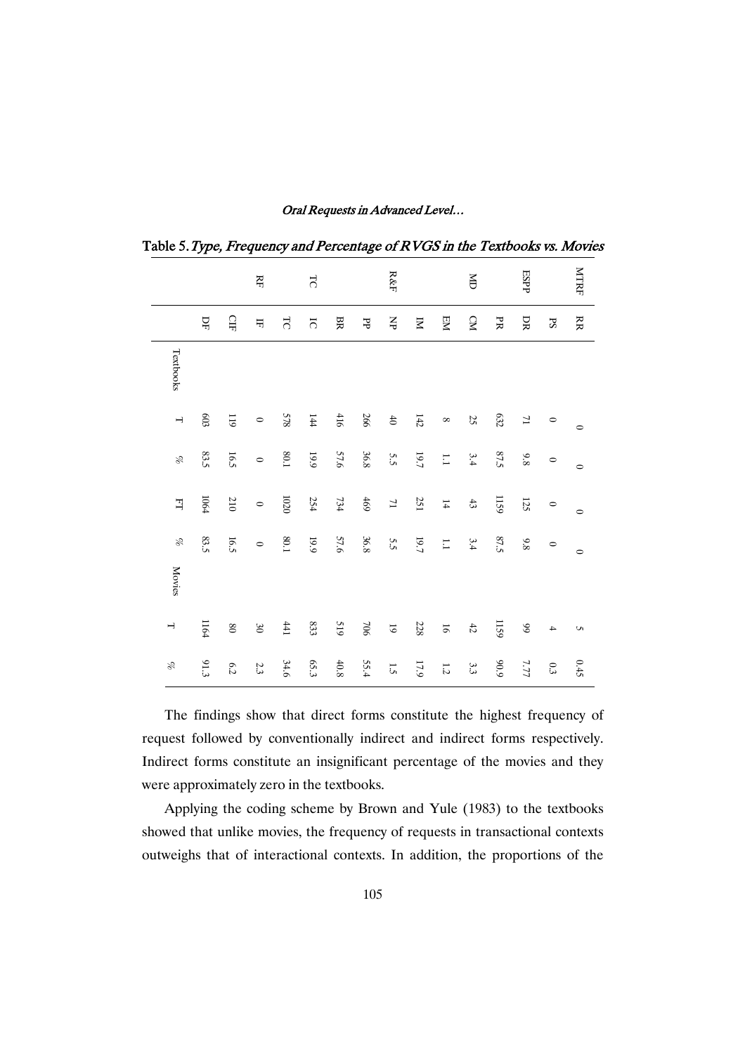|                          |          |             | RF      |                | $\overline{C}$ |       |         | ${\rm R\&F}$      |          |                          | ă      |      | ESPP              |               | <b>NTRF</b> |
|--------------------------|----------|-------------|---------|----------------|----------------|-------|---------|-------------------|----------|--------------------------|--------|------|-------------------|---------------|-------------|
|                          | 묘        | $\Omega$    | 屶       | $\overline{5}$ | $\overline{c}$ | BR    | F       | $\gtrapprox$      | Σ        | EM                       | CM     | FR   | DR                | $\mathbf{S}$  | RR          |
| Textbooks                |          |             |         |                |                |       |         |                   |          |                          |        |      |                   |               |             |
| $\overline{\phantom{a}}$ | $603\,$  | $611$       | $\circ$ | 578            | $144\,$        | $416$ | 266     | $\uplus$          | $142\,$  | $\infty$                 | 25     | 632  | $\overline{\tau}$ | $\circ$       | $\circ$     |
| d                        | $83.5\,$ | 16.5        | $\circ$ | $80.1\,$       | $6\,61$        | 57.6  | 36.8    | 5.5               | $19.7\,$ | $\overline{1.1}$         | 3.4    | 87.5 | $9.8\,$           | $\circ$       | $\circ$     |
| 귘                        | $1064\,$ | $210\,$     | $\circ$ | 1020           | 254            | $734$ | $469$   | $\overline{\tau}$ | 251      | 14                       | $43\,$ | 1159 | 125               | $\circ$       | $\circ$     |
| Þ                        | 83.5     | 16.5        | $\circ$ | $80.1\,$       | $6\,61$        | 57.6  | 36.8    | 5S                | $19.7\,$ | $\overline{\phantom{0}}$ | 3.4    | 87.5 | 9.8               | $\circ$       | $\circ$     |
| <b>Movies</b>            |          |             |         |                |                |       |         |                   |          |                          |        |      |                   |               |             |
| $\overline{\phantom{a}}$ | 1164     | $_{\rm 90}$ | $30\,$  | 441            | 833            | 519   | $706\,$ | $\overline{6}$    | 228      | $\overline{6}$           | $42\,$ | 1159 | $99\,$            | $\rightarrow$ | c           |
| Þ                        | 91.3     | 6.2         | $2.3\,$ | 34.6           | 65.3           | 40.8  | 55.4    | 1.5               | $17.9$   | $1.2\,$                  | 3.3    | 6'06 | 7.77              | $0.3\,$       | 0.45        |

Oral Requests in Advanced Level...

Table 5. Type, Frequency and Percentage of RVGS in the Textbooks vs. Movies

The findings show that direct forms constitute the highest frequency of request followed by conventionally indirect and indirect forms respectively. Indirect forms constitute an insignificant percentage of the movies and they were approximately zero in the textbooks.

Applying the coding scheme by Brown and Yule (1983) to the textbooks showed that unlike movies, the frequency of requests in transactional contexts outweighs that of interactional contexts. In addition, the proportions of the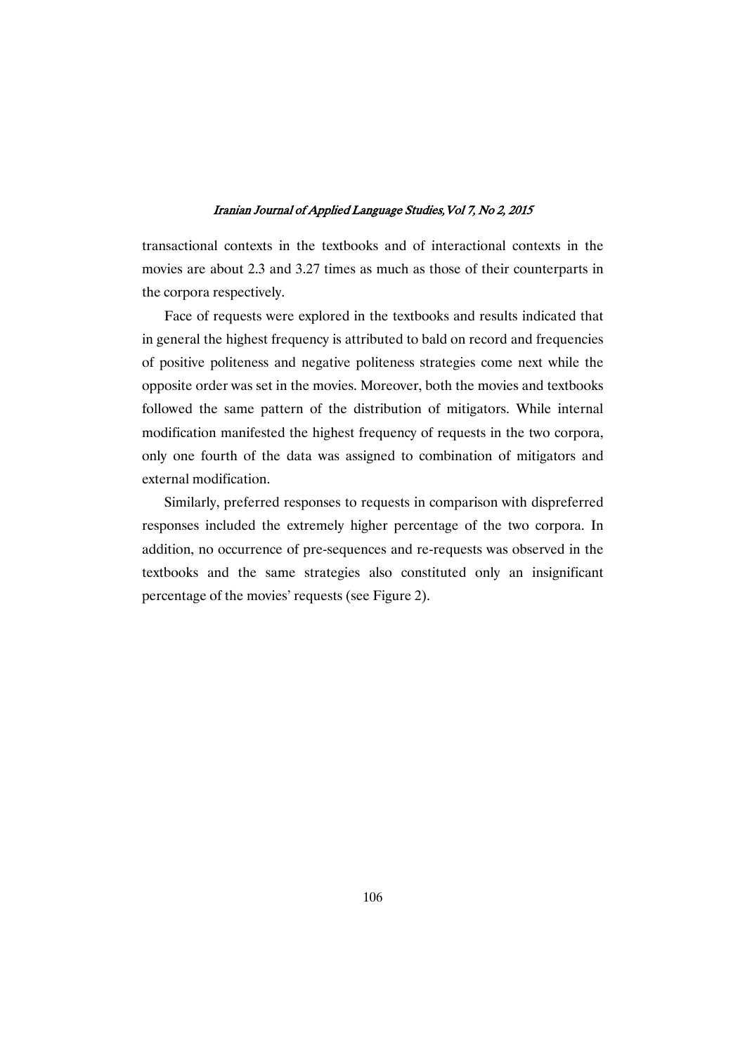transactional contexts in the textbooks and of interactional contexts in the movies are about 2.3 and 3.27 times as much as those of their counterparts in the corpora respectively.

Face of requests were explored in the textbooks and results indicated that in general the highest frequency is attributed to bald on record and frequencies of positive politeness and negative politeness strategies come next while the opposite order was set in the movies. Moreover, both the movies and textbooks followed the same pattern of the distribution of mitigators. While internal modification manifested the highest frequency of requests in the two corpora, only one fourth of the data was assigned to combination of mitigators and external modification.

Similarly, preferred responses to requests in comparison with dispreferred responses included the extremely higher percentage of the two corpora. In addition, no occurrence of pre-sequences and re-requests was observed in the textbooks and the same strategies also constituted only an insignificant percentage of the movies' requests (see Figure 2).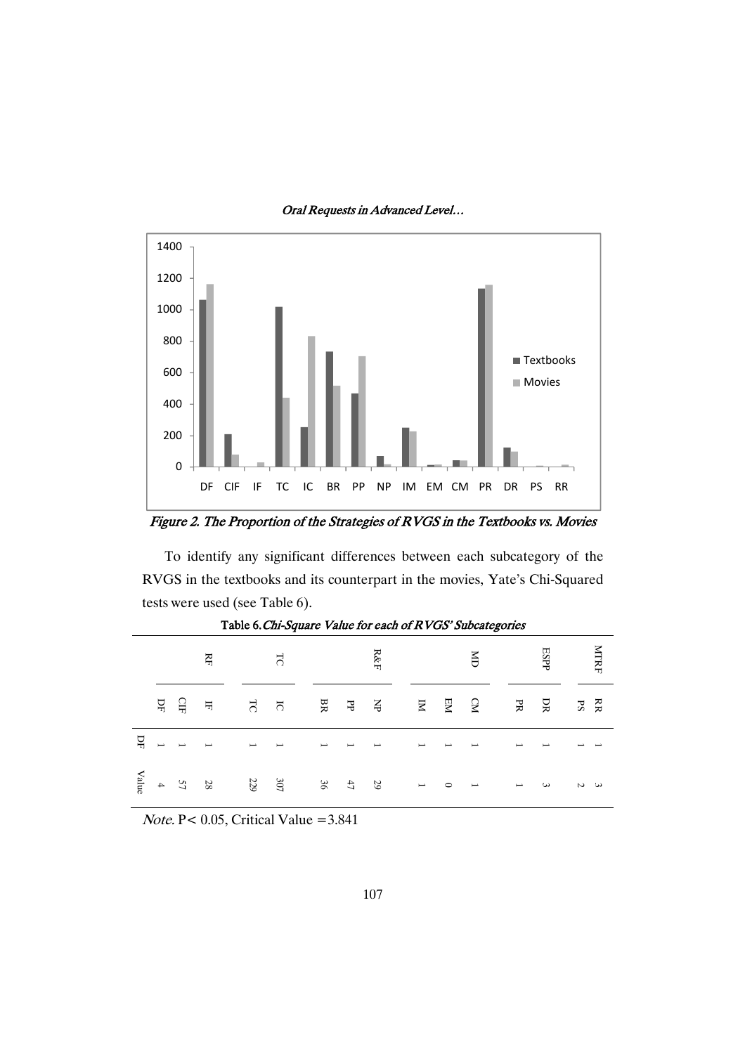

Figure 2. The Proportion of the Strategies of RVGS in the Textbooks vs. Movies

To identify any significant differences between each subcategory of the RVGS in the textbooks and its counterpart in the movies, Yate's Chi-Squared tests were used (see Table 6).

|       |    |          |                         |                          | Table of the Department of the basic of the Value of the David Depths |                          |              |                      |                          |         |                          |                          |          |             |             |
|-------|----|----------|-------------------------|--------------------------|-----------------------------------------------------------------------|--------------------------|--------------|----------------------|--------------------------|---------|--------------------------|--------------------------|----------|-------------|-------------|
|       |    |          | Ř                       |                          | $\Gamma_{\text{C}}$                                                   |                          |              | R&F                  |                          |         | ă                        |                          | ESPP     |             | <b>NTRF</b> |
|       | PF | 읍        | $\overline{\mathbf{H}}$ | TC                       | $\Xi$                                                                 | BR                       | Ъ            | $\breve{\mathsf{H}}$ | $\Xi$                    | EМ      | CM                       | $_{\rm{PR}}$             | DR       | $_{\rm PS}$ | kR          |
| 뮤     | I  | I        | I                       | $\overline{\phantom{a}}$ | $\overline{\phantom{a}}$                                              | $\overline{\phantom{a}}$ |              |                      | $\overline{\phantom{0}}$ |         |                          | $\overline{\phantom{0}}$ |          |             |             |
| Value |    | $\sum$ 4 | 28                      | 229                      | 105                                                                   | 36                       | $\downarrow$ | $\overline{5}$       | $\overline{\phantom{a}}$ | $\circ$ | $\overline{\phantom{a}}$ | I                        | $\omega$ | $\sim$      | ىئ          |

Table 6. Chi-Square Value for each of RVGS' Subcategories

Note. P< 0.05, Critical Value =3.841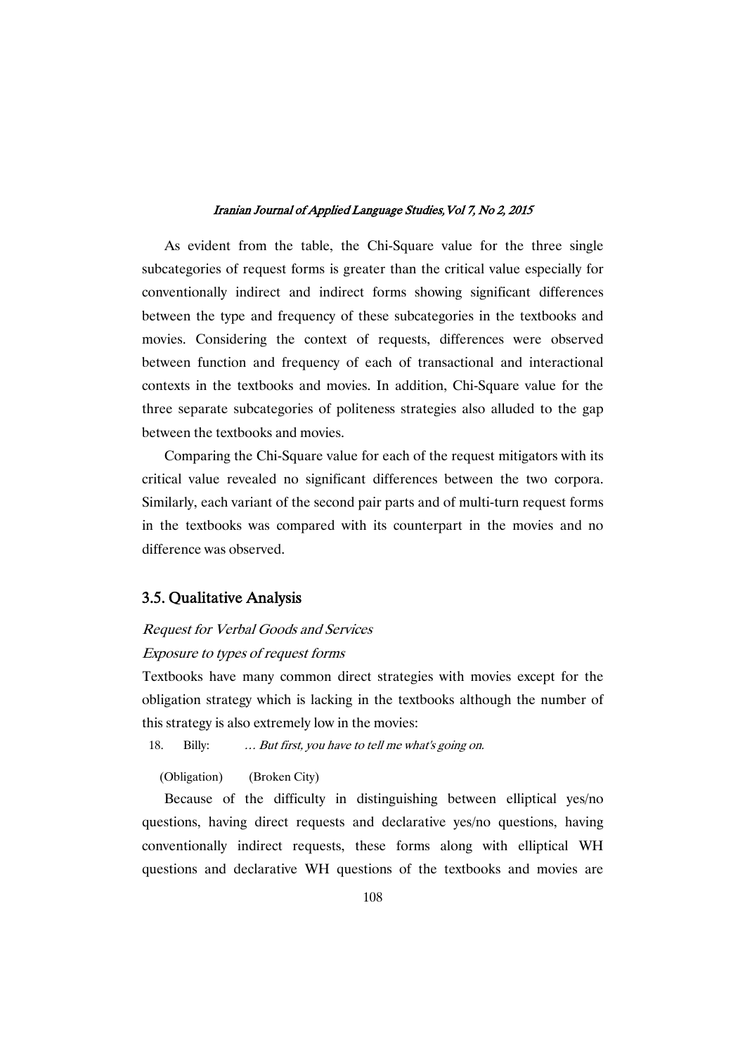As evident from the table, the Chi-Square value for the three single subcategories of request forms is greater than the critical value especially for conventionally indirect and indirect forms showing significant differences between the type and frequency of these subcategories in the textbooks and movies. Considering the context of requests, differences were observed between function and frequency of each of transactional and interactional contexts in the textbooks and movies. In addition, Chi-Square value for the three separate subcategories of politeness strategies also alluded to the gap between the textbooks and movies.

Comparing the Chi-Square value for each of the request mitigators with its critical value revealed no significant differences between the two corpora. Similarly, each variant of the second pair parts and of multi-turn request forms in the textbooks was compared with its counterpart in the movies and no difference was observed.

### 3.5. Qualitative Analysis

# Request for Verbal Goods and Services Exposure to types of request forms

Textbooks have many common direct strategies with movies except for the obligation strategy which is lacking in the textbooks although the number of this strategy is also extremely low in the movies:

18. Billy: … But first, you have to tell me what's going on.

(Obligation) (Broken City)

Because of the difficulty in distinguishing between elliptical yes/no questions, having direct requests and declarative yes/no questions, having conventionally indirect requests, these forms along with elliptical WH questions and declarative WH questions of the textbooks and movies are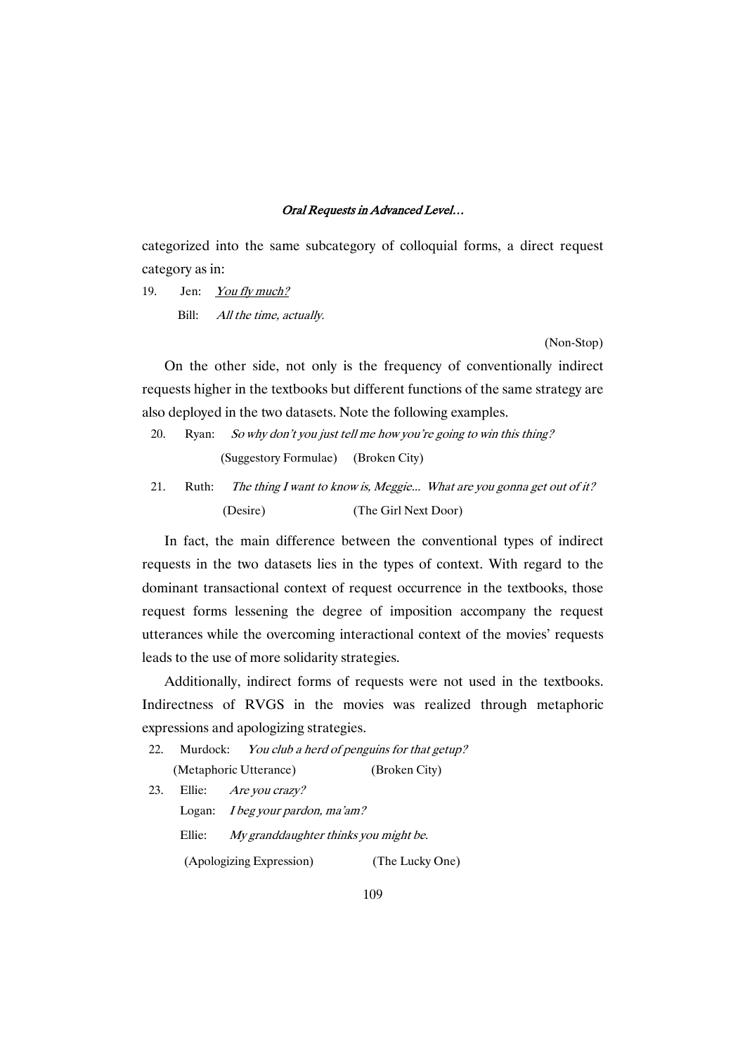categorized into the same subcategory of colloquial forms, a direct request category as in:

19. Jen: You fly much? Bill: All the time, actually.

(Non-Stop)

On the other side, not only is the frequency of conventionally indirect requests higher in the textbooks but different functions of the same strategy are also deployed in the two datasets. Note the following examples.

- 20. Ryan: So why don't you just tell me how you're going to win this thing? (Suggestory Formulae) (Broken City)
- 21. Ruth: The thing I want to know is, Meggie... What are you gonna get out of it? (Desire) (The Girl Next Door)

In fact, the main difference between the conventional types of indirect requests in the two datasets lies in the types of context. With regard to the dominant transactional context of request occurrence in the textbooks, those request forms lessening the degree of imposition accompany the request utterances while the overcoming interactional context of the movies' requests leads to the use of more solidarity strategies.

Additionally, indirect forms of requests were not used in the textbooks. Indirectness of RVGS in the movies was realized through metaphoric expressions and apologizing strategies.

- 22. Murdock: You club a herd of penguins for that getup? (Metaphoric Utterance) (Broken City)
- 23. Ellie: Are you crazy? Logan: <sup>I</sup> beg your pardon, ma'am? Ellie: My granddaughter thinks you might be. (Apologizing Expression) (The Lucky One)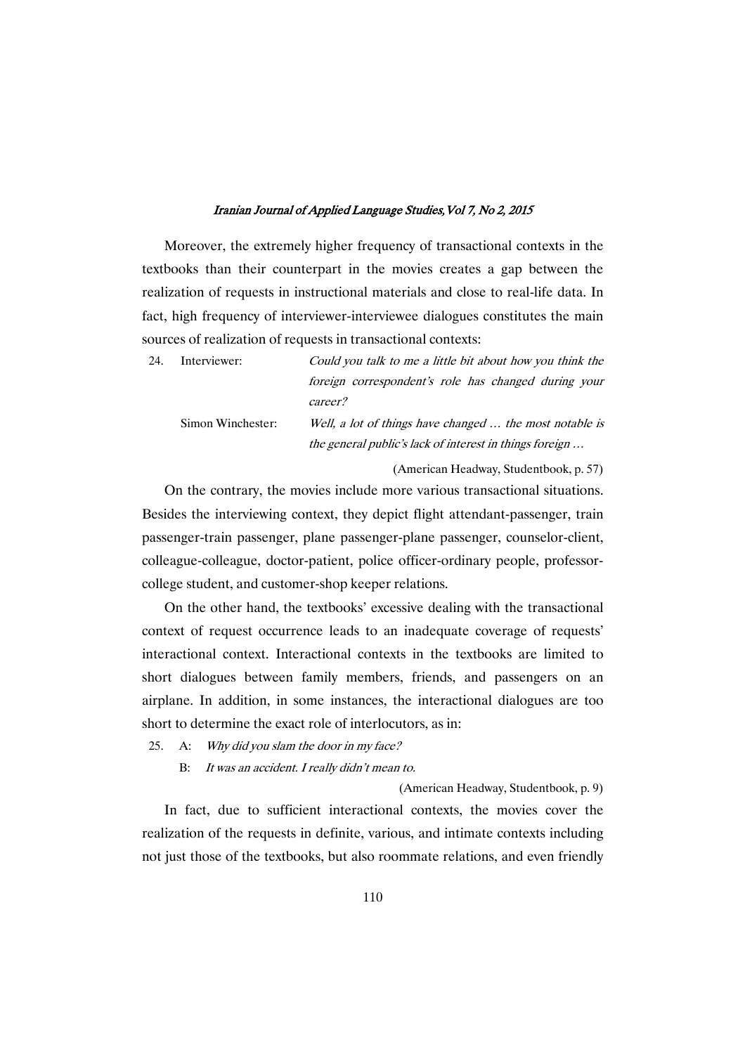Moreover, the extremely higher frequency of transactional contexts in the textbooks than their counterpart in the movies creates a gap between the realization of requests in instructional materials and close to real-life data. In fact, high frequency of interviewer-interviewee dialogues constitutes the main sources of realization of requests in transactional contexts:

| 24. | Interviewer:      | Could you talk to me a little bit about how you think the |
|-----|-------------------|-----------------------------------------------------------|
|     |                   | foreign correspondent's role has changed during your      |
|     |                   | career?                                                   |
|     | Simon Winchester: | Well, a lot of things have changed  the most notable is   |
|     |                   | the general public's lack of interest in things foreign   |
|     |                   |                                                           |

(American Headway, Studentbook, p. 57)

On the contrary, the movies include more various transactional situations. Besides the interviewing context, they depict flight attendant-passenger, train passenger-train passenger, plane passenger-plane passenger, counselor-client, colleague-colleague, doctor-patient, police officer-ordinary people, professorcollege student, and customer-shop keeper relations.

On the other hand, the textbooks' excessive dealing with the transactional context of request occurrence leads to an inadequate coverage of requests' interactional context. Interactional contexts in the textbooks are limited to short dialogues between family members, friends, and passengers on an airplane. In addition, in some instances, the interactional dialogues are too short to determine the exact role of interlocutors, as in:

- 25. A: Why did you slam the door in my face?
	- B: It was an accident. <sup>I</sup> really didn't mean to.

(American Headway, Studentbook, p. 9)

In fact, due to sufficient interactional contexts, the movies cover the realization of the requests in definite, various, and intimate contexts including not just those of the textbooks, but also roommate relations, and even friendly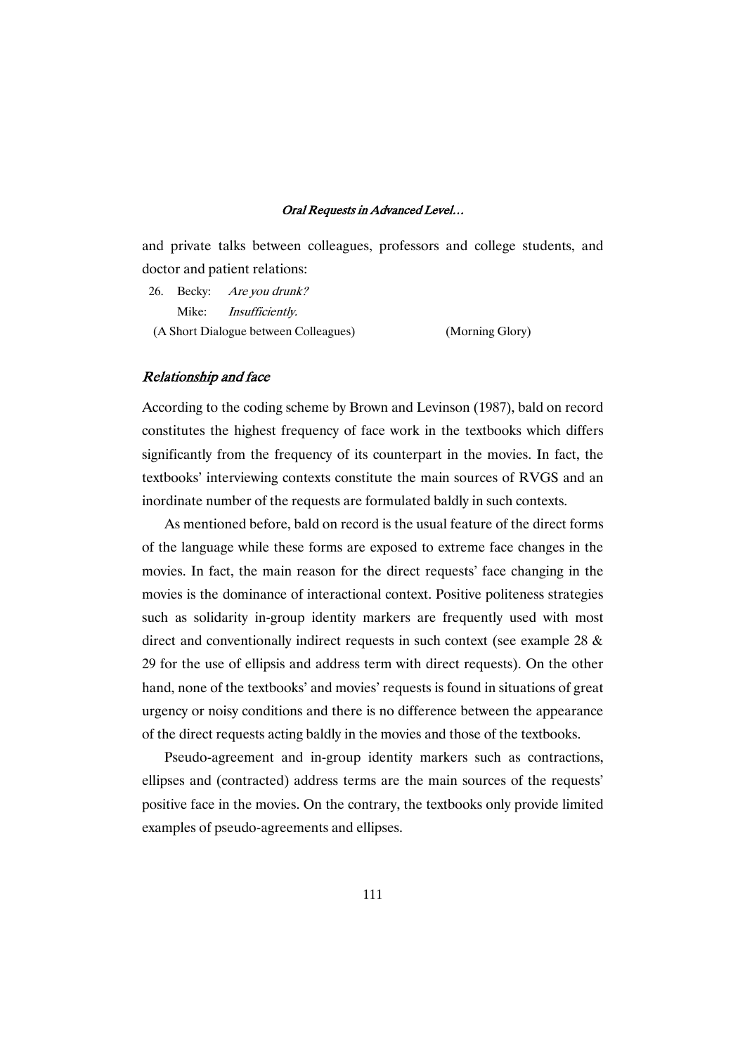and private talks between colleagues, professors and college students, and doctor and patient relations:

26. Becky: Are you drunk? Mike: Insufficiently. (A Short Dialogue between Colleagues) (Morning Glory)

### Relationship and face

According to the coding scheme by Brown and Levinson (1987), bald on record constitutes the highest frequency of face work in the textbooks which differs significantly from the frequency of its counterpart in the movies. In fact, the textbooks' interviewing contexts constitute the main sources of RVGS and an inordinate number of the requests are formulated baldly in such contexts.

As mentioned before, bald on record is the usual feature of the direct forms of the language while these forms are exposed to extreme face changes in the movies. In fact, the main reason for the direct requests' face changing in the movies is the dominance of interactional context. Positive politeness strategies such as solidarity in-group identity markers are frequently used with most direct and conventionally indirect requests in such context (see example 28 & 29 for the use of ellipsis and address term with direct requests). On the other hand, none of the textbooks' and movies' requests is found in situations of great urgency or noisy conditions and there is no difference between the appearance of the direct requests acting baldly in the movies and those of the textbooks.

Pseudo-agreement and in-group identity markers such as contractions, ellipses and (contracted) address terms are the main sources of the requests' positive face in the movies. On the contrary, the textbooks only provide limited examples of pseudo-agreements and ellipses.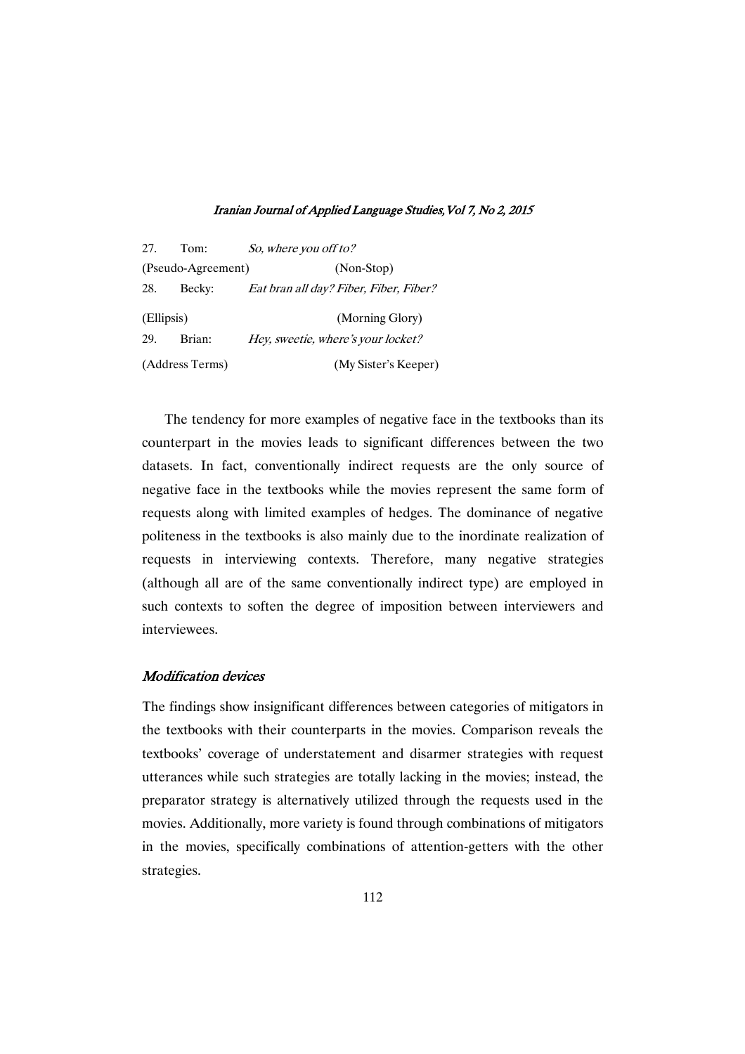| 27.        | Tom:               | So, where you off to?                  |
|------------|--------------------|----------------------------------------|
|            | (Pseudo-Agreement) | (Non-Stop)                             |
| 28.        | Becky:             | Eat bran all day? Fiber, Fiber, Fiber? |
| (Ellipsis) |                    | (Morning Glory)                        |
| 29.        | Brian:             | Hey, sweetie, where's your locket?     |
|            | (Address Terms)    | (My Sister's Keeper)                   |

The tendency for more examples of negative face in the textbooks than its counterpart in the movies leads to significant differences between the two datasets. In fact, conventionally indirect requests are the only source of negative face in the textbooks while the movies represent the same form of requests along with limited examples of hedges. The dominance of negative politeness in the textbooks is also mainly due to the inordinate realization of requests in interviewing contexts. Therefore, many negative strategies (although all are of the same conventionally indirect type) are employed in such contexts to soften the degree of imposition between interviewers and interviewees.

### **Modification devices**

The findings show insignificant differences between categories of mitigators in the textbooks with their counterparts in the movies. Comparison reveals the textbooks' coverage of understatement and disarmer strategies with request utterances while such strategies are totally lacking in the movies; instead, the preparator strategy is alternatively utilized through the requests used in the movies. Additionally, more variety is found through combinations of mitigators in the movies, specifically combinations of attention-getters with the other strategies.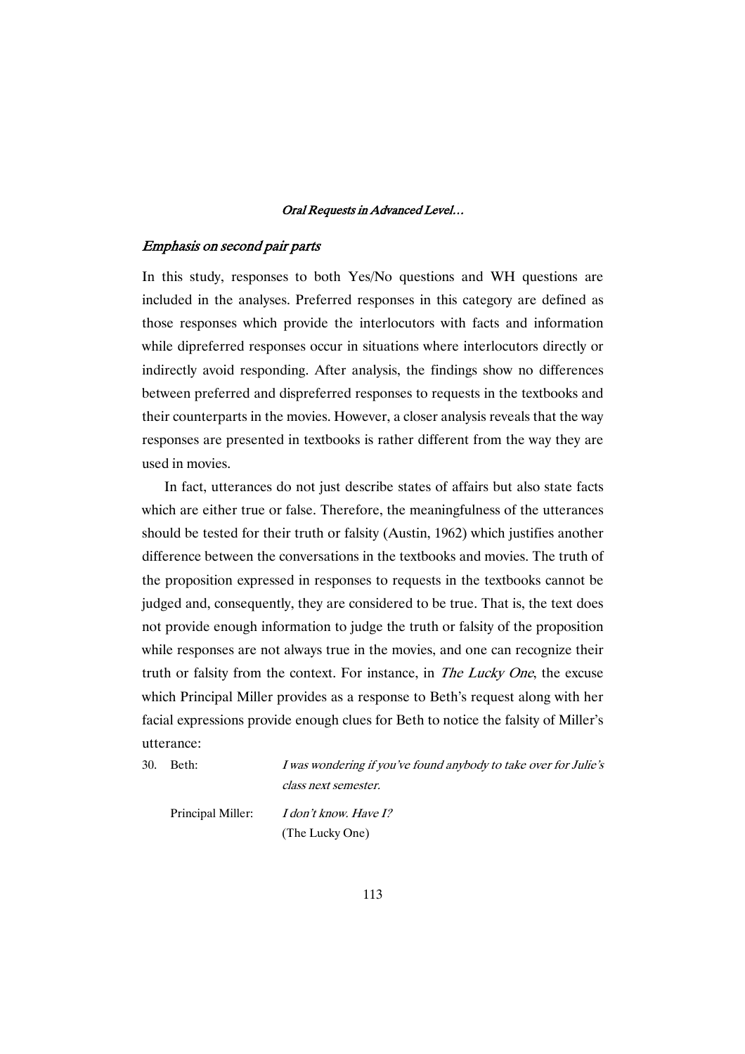### Emphasis on second pair parts

In this study, responses to both Yes/No questions and WH questions are included in the analyses. Preferred responses in this category are defined as those responses which provide the interlocutors with facts and information while dipreferred responses occur in situations where interlocutors directly or indirectly avoid responding. After analysis, the findings show no differences between preferred and dispreferred responses to requests in the textbooks and their counterparts in the movies. However, a closer analysis reveals that the way responses are presented in textbooks is rather different from the way they are used in movies.

In fact, utterances do not just describe states of affairs but also state facts which are either true or false. Therefore, the meaningfulness of the utterances should be tested for their truth or falsity (Austin, 1962) which justifies another difference between the conversations in the textbooks and movies. The truth of the proposition expressed in responses to requests in the textbooks cannot be judged and, consequently, they are considered to be true. That is, the text does not provide enough information to judge the truth or falsity of the proposition while responses are not always true in the movies, and one can recognize their truth or falsity from the context. For instance, in The Lucky One, the excuse which Principal Miller provides as a response to Beth's request along with her facial expressions provide enough clues for Beth to notice the falsity of Miller's utterance:

30. Beth: *I was wondering if you've found anybody to take over for Julie's* class next semester.

Principal Miller: *I don't know. Have I?* 

(The Lucky One)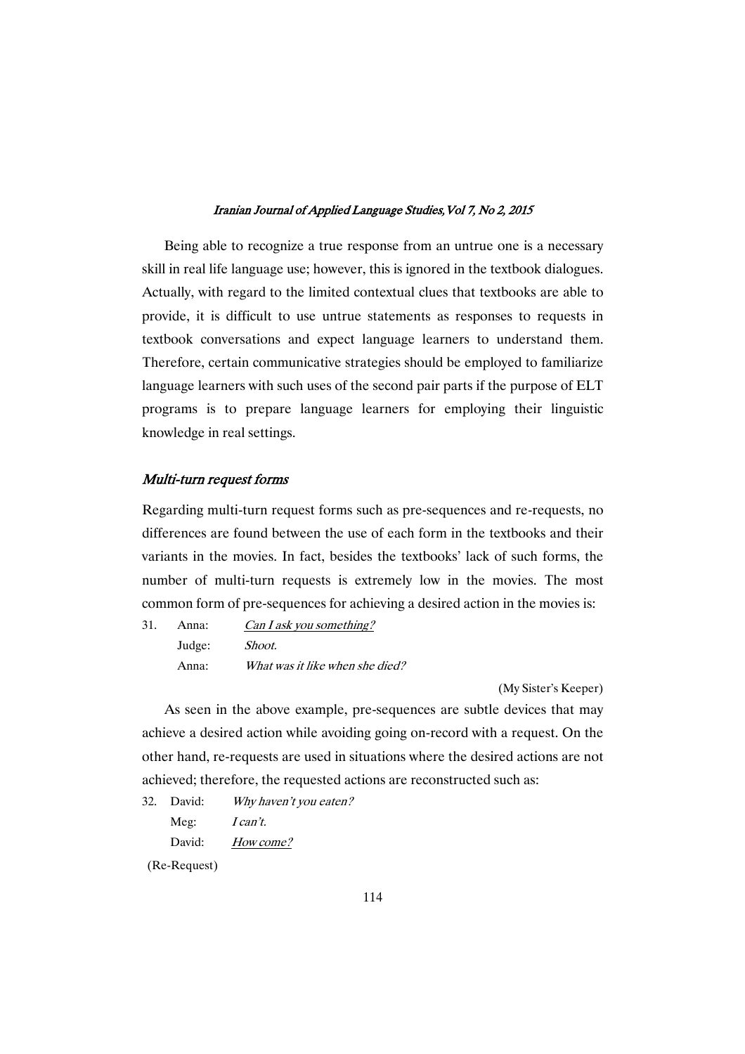Being able to recognize a true response from an untrue one is a necessary skill in real life language use; however, this is ignored in the textbook dialogues. Actually, with regard to the limited contextual clues that textbooks are able to provide, it is difficult to use untrue statements as responses to requests in textbook conversations and expect language learners to understand them. Therefore, certain communicative strategies should be employed to familiarize language learners with such uses of the second pair parts if the purpose of ELT programs is to prepare language learners for employing their linguistic knowledge in real settings.

### Multi-turn request forms

Regarding multi-turn request forms such as pre-sequences and re-requests, no differences are found between the use of each form in the textbooks and their variants in the movies. In fact, besides the textbooks' lack of such forms, the number of multi-turn requests is extremely low in the movies. The most common form of pre-sequences for achieving a desired action in the movies is:

31. Anna: Can <sup>I</sup> ask you something? Judge: Shoot. Anna: What was it like when she died?

(My Sister's Keeper)

As seen in the above example, pre-sequences are subtle devices that may achieve a desired action while avoiding going on-record with a request. On the other hand, re-requests are used in situations where the desired actions are not achieved; therefore, the requested actions are reconstructed such as:

32. David: Why haven't you eaten?

Meg: *I can't.* 

David: How come?

(Re-Request)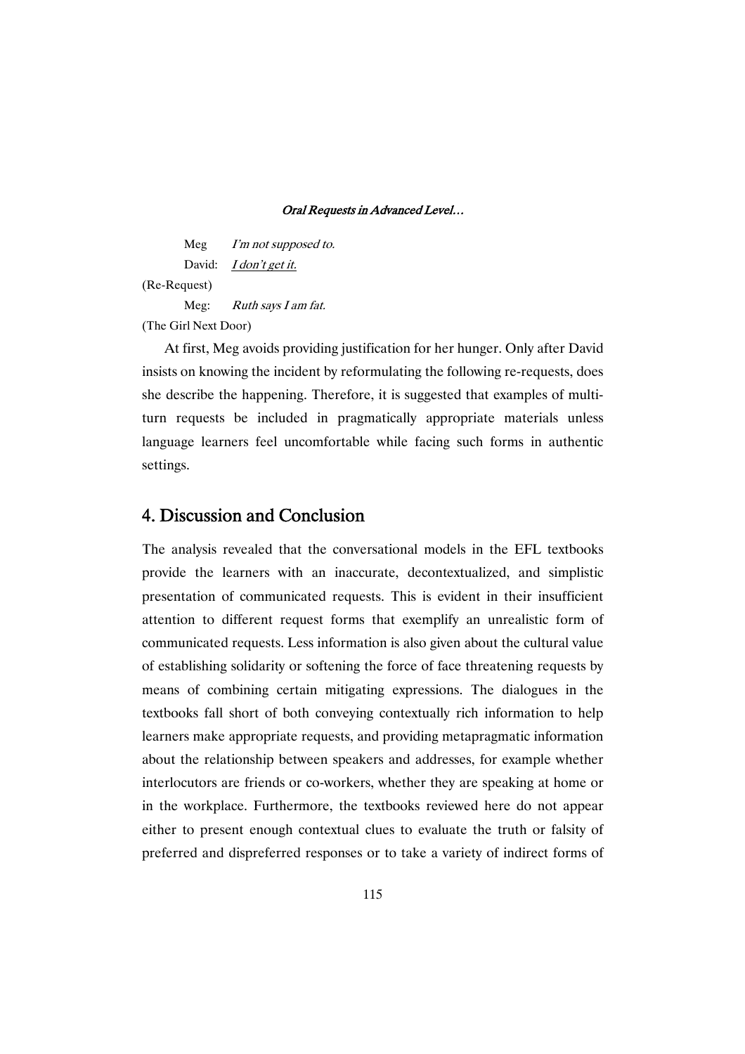Meg I'm not supposed to. David: *I don't get it.* (Re-Request) Meg: Ruth says I am fat.

(The Girl Next Door)

At first, Meg avoids providing justification for her hunger. Only after David insists on knowing the incident by reformulating the following re-requests, does she describe the happening. Therefore, it is suggested that examples of multiturn requests be included in pragmatically appropriate materials unless language learners feel uncomfortable while facing such forms in authentic settings.

# 4. Discussion and Conclusion

The analysis revealed that the conversational models in the EFL textbooks provide the learners with an inaccurate, decontextualized, and simplistic presentation of communicated requests. This is evident in their insufficient attention to different request forms that exemplify an unrealistic form of communicated requests. Less information is also given about the cultural value of establishing solidarity or softening the force of face threatening requests by means of combining certain mitigating expressions. The dialogues in the textbooks fall short of both conveying contextually rich information to help learners make appropriate requests, and providing metapragmatic information about the relationship between speakers and addresses, for example whether interlocutors are friends or co-workers, whether they are speaking at home or in the workplace. Furthermore, the textbooks reviewed here do not appear either to present enough contextual clues to evaluate the truth or falsity of preferred and dispreferred responses or to take a variety of indirect forms of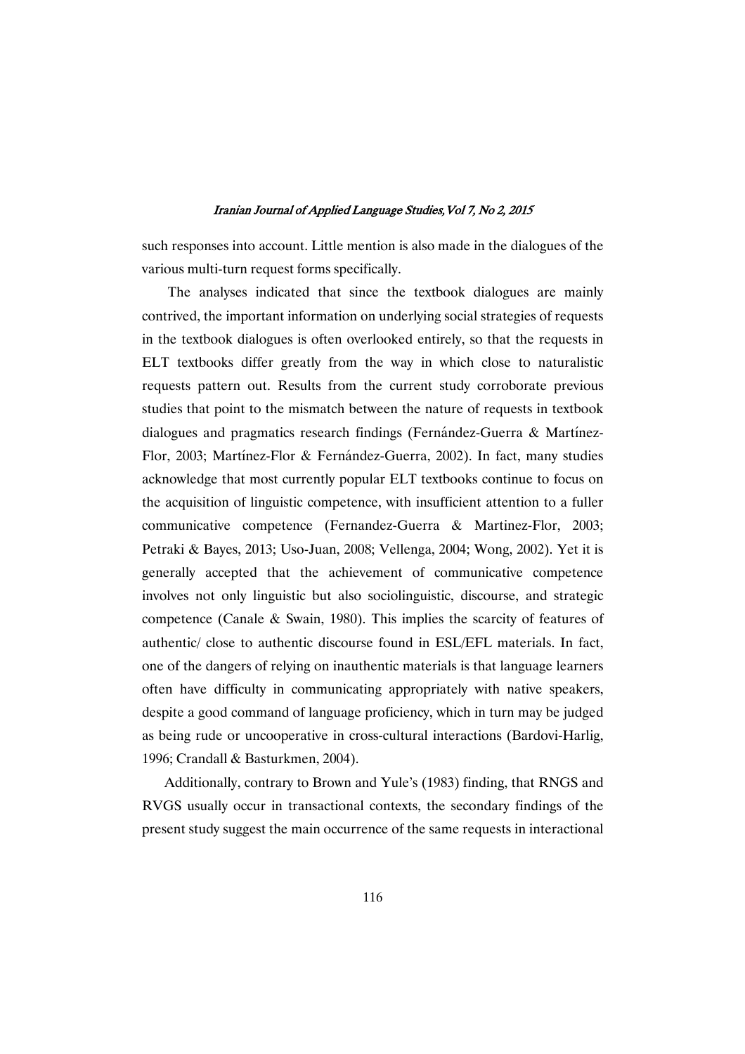such responses into account. Little mention is also made in the dialogues of the various multi-turn request forms specifically.

The analyses indicated that since the textbook dialogues are mainly contrived, the important information on underlying social strategies of requests in the textbook dialogues is often overlooked entirely, so that the requests in ELT textbooks differ greatly from the way in which close to naturalistic requests pattern out. Results from the current study corroborate previous studies that point to the mismatch between the nature of requests in textbook dialogues and pragmatics research findings (Fernández-Guerra & Martínez-Flor, 2003; Martínez-Flor & Fernández-Guerra, 2002). In fact, many studies acknowledge that most currently popular ELT textbooks continue to focus on the acquisition of linguistic competence, with insufficient attention to a fuller communicative competence (Fernandez-Guerra & Martinez-Flor, 2003; Petraki & Bayes, 2013; Uso-Juan, 2008; Vellenga, 2004; Wong, 2002). Yet it is generally accepted that the achievement of communicative competence involves not only linguistic but also sociolinguistic, discourse, and strategic competence (Canale & Swain, 1980). This implies the scarcity of features of authentic/ close to authentic discourse found in ESL/EFL materials. In fact, one of the dangers of relying on inauthentic materials is that language learners often have difficulty in communicating appropriately with native speakers, despite a good command of language proficiency, which in turn may be judged as being rude or uncooperative in cross-cultural interactions (Bardovi-Harlig, 1996; Crandall & Basturkmen, 2004).

Additionally, contrary to Brown and Yule's (1983) finding, that RNGS and RVGS usually occur in transactional contexts, the secondary findings of the present study suggest the main occurrence of the same requests in interactional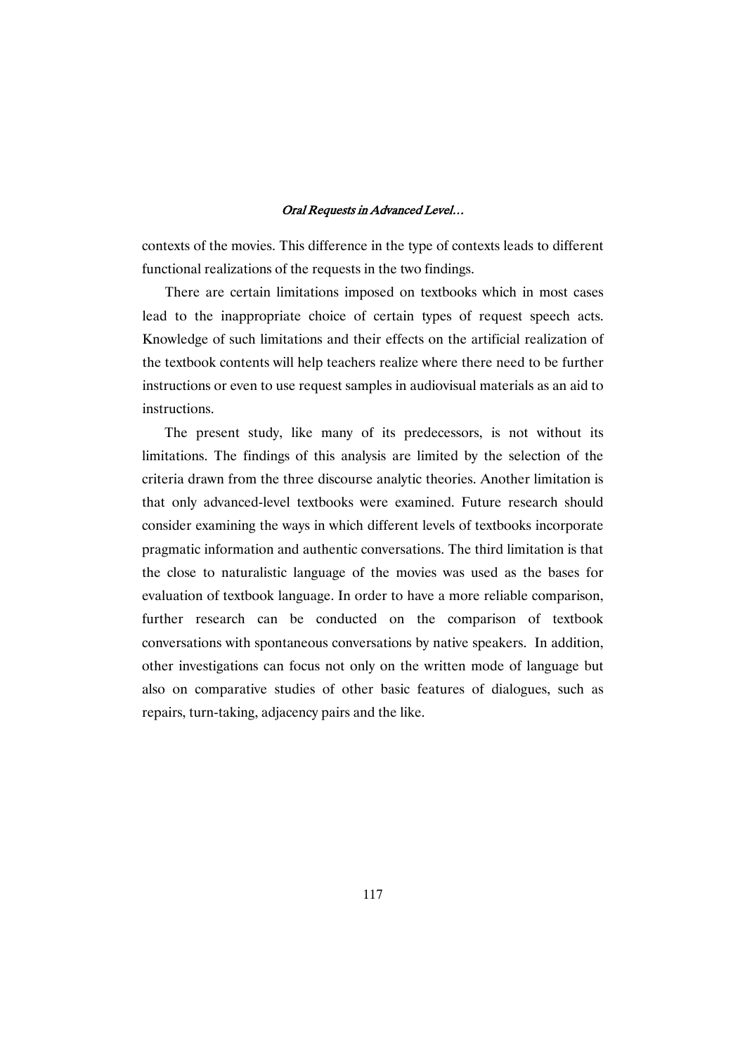contexts of the movies. This difference in the type of contexts leads to different functional realizations of the requests in the two findings.

There are certain limitations imposed on textbooks which in most cases lead to the inappropriate choice of certain types of request speech acts. Knowledge of such limitations and their effects on the artificial realization of the textbook contents will help teachers realize where there need to be further instructions or even to use request samples in audiovisual materials as an aid to instructions.

The present study, like many of its predecessors, is not without its limitations. The findings of this analysis are limited by the selection of the criteria drawn from the three discourse analytic theories. Another limitation is that only advanced-level textbooks were examined. Future research should consider examining the ways in which different levels of textbooks incorporate pragmatic information and authentic conversations. The third limitation is that the close to naturalistic language of the movies was used as the bases for evaluation of textbook language. In order to have a more reliable comparison, further research can be conducted on the comparison of textbook conversations with spontaneous conversations by native speakers. In addition, other investigations can focus not only on the written mode of language but also on comparative studies of other basic features of dialogues, such as repairs, turn-taking, adjacency pairs and the like.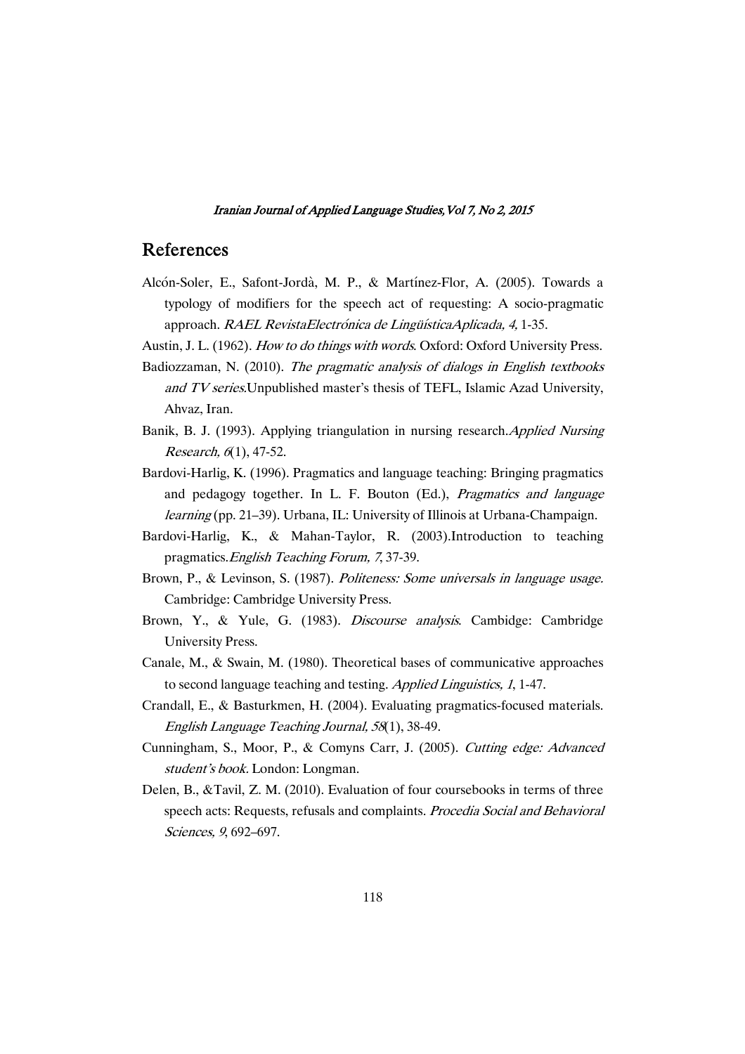## References

- Alcón-Soler, E., Safont-Jordà, M. P., & Martínez-Flor, A. (2005). Towards a typology of modifiers for the speech act of requesting: A socio-pragmatic approach. RAEL RevistaElectrónica de LingüísticaAplicada, 4, 1-35.
- Austin, J. L. (1962). How to do things with words. Oxford: Oxford University Press.
- Badiozzaman, N. (2010). The pragmatic analysis of dialogs in English textbooks and TV series. Unpublished master's thesis of TEFL, Islamic Azad University, Ahvaz, Iran.
- Banik, B. J. (1993). Applying triangulation in nursing research.Applied Nursing Research, <sup>6</sup>(1), 47-52.
- Bardovi-Harlig, K. (1996). Pragmatics and language teaching: Bringing pragmatics and pedagogy together. In L. F. Bouton (Ed.), Pragmatics and language learning (pp. 21–39). Urbana, IL: University of Illinois at Urbana-Champaign.
- Bardovi-Harlig, K., & Mahan-Taylor, R. (2003).Introduction to teaching pragmatics.English Teaching Forum, <sup>7</sup>, 37-39.
- Brown, P., & Levinson, S. (1987). Politeness: Some universals in language usage. Cambridge: Cambridge University Press.
- Brown, Y., & Yule, G. (1983). Discourse analysis. Cambidge: Cambridge University Press.
- Canale, M., & Swain, M. (1980). Theoretical bases of communicative approaches to second language teaching and testing. Applied Linguistics, <sup>1</sup>, 1-47.
- Crandall, E., & Basturkmen, H. (2004). Evaluating pragmatics-focused materials. English Language Teaching Journal, <sup>58</sup>(1), 38-49.
- Cunningham, S., Moor, P., & Comyns Carr, J. (2005). Cutting edge: Advanced student's book. London: Longman.
- Delen, B., &Tavil, Z. M. (2010). Evaluation of four coursebooks in terms of three speech acts: Requests, refusals and complaints. Procedia Social and Behavioral Sciences, <sup>9</sup>, 692–697.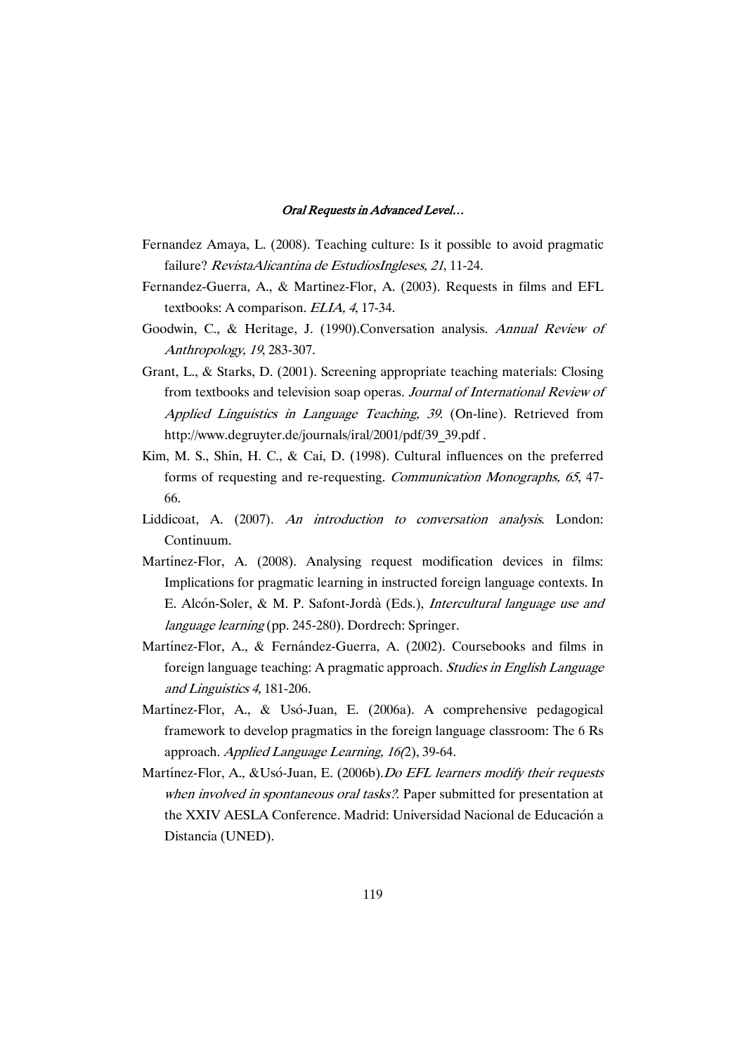- Fernandez Amaya, L. (2008). Teaching culture: Is it possible to avoid pragmatic failure? RevistaAlicantina de EstudiosIngleses, <sup>21</sup>, 11-24.
- Fernandez-Guerra, A., & Martinez-Flor, A. (2003). Requests in films and EFL textbooks: A comparison. ELIA, <sup>4</sup>, 17-34.
- Goodwin, C., & Heritage, J. (1990).Conversation analysis. Annual Review of Anthropology, <sup>19</sup>, 283-307.
- Grant, L., & Starks, D. (2001). Screening appropriate teaching materials: Closing from textbooks and television soap operas. Journal of International Review of Applied Linguistics in Language Teaching, <sup>39</sup>. (On-line). Retrieved from http://www.degruyter.de/journals/iral/2001/pdf/39\_39.pdf .
- Kim, M. S., Shin, H. C., & Cai, D. (1998). Cultural influences on the preferred forms of requesting and re-requesting. Communication Monographs, <sup>65</sup>, 47- 66.
- Liddicoat, A. (2007). An introduction to conversation analysis. London: Continuum.
- Martínez-Flor, A. (2008). Analysing request modification devices in films: Implications for pragmatic learning in instructed foreign language contexts. In E. Alcón-Soler, & M. P. Safont-Jordà (Eds.), Intercultural language use and language learning (pp. 245-280). Dordrech: Springer.
- Martínez-Flor, A., & Fernández-Guerra, A. (2002). Coursebooks and films in foreign language teaching: A pragmatic approach. Studies in English Language and Linguistics <sup>4</sup>, 181-206.
- Martínez-Flor, A., & Usó-Juan, E. (2006a). A comprehensive pedagogical framework to develop pragmatics in the foreign language classroom: The 6 Rs approach. Applied Language Learning, 16(2), 39-64.
- Martínez-Flor, A., &Usó-Juan, E. (2006b).Do EFL learners modify their requests when involved in spontaneous oral tasks?. Paper submitted for presentation at the XXIV AESLA Conference. Madrid: Universidad Nacional de Educación a Distancia (UNED).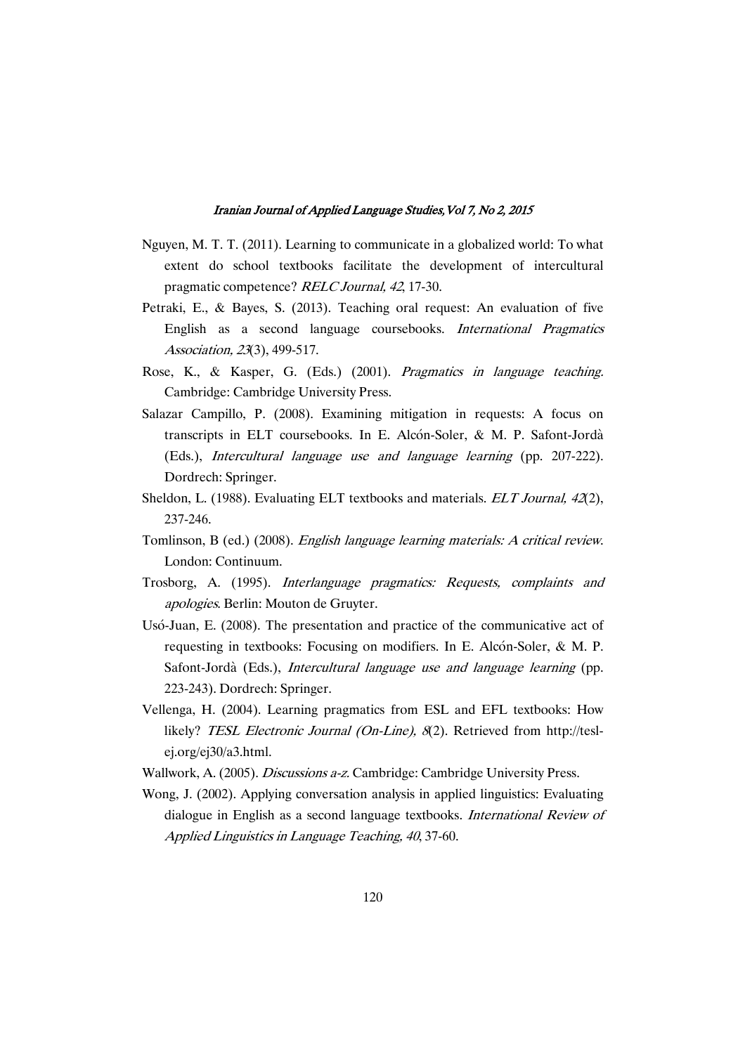- Nguyen, M. T. T. (2011). Learning to communicate in a globalized world: To what extent do school textbooks facilitate the development of intercultural pragmatic competence? RELC Journal, <sup>42</sup>, 17-30.
- Petraki, E., & Bayes, S. (2013). Teaching oral request: An evaluation of five English as a second language coursebooks. International Pragmatics Association, <sup>23</sup>(3), 499-517.
- Rose, K., & Kasper, G. (Eds.) (2001). Pragmatics in language teaching. Cambridge: Cambridge University Press.
- Salazar Campillo, P. (2008). Examining mitigation in requests: A focus on transcripts in ELT coursebooks. In E. Alcón-Soler, & M. P. Safont-Jordà (Eds.), Intercultural language use and language learning (pp. 207-222). Dordrech: Springer.
- Sheldon, L. (1988). Evaluating ELT textbooks and materials. *ELT Journal, 42*(2), 237-246.
- Tomlinson, B (ed.) (2008). English language learning materials: <sup>A</sup> critical review. London: Continuum.
- Trosborg, A. (1995). Interlanguage pragmatics: Requests, complaints and apologies. Berlin: Mouton de Gruyter.
- Usó-Juan, E. (2008). The presentation and practice of the communicative act of requesting in textbooks: Focusing on modifiers. In E. Alcón-Soler, & M. P. Safont-Jordà (Eds.), Intercultural language use and language learning (pp. 223-243). Dordrech: Springer.
- Vellenga, H. (2004). Learning pragmatics from ESL and EFL textbooks: How likely? TESL Electronic Journal (On-Line), 8(2). Retrieved from http://teslej.org/ej30/a3.html.
- Wallwork, A. (2005). Discussions a-z. Cambridge: Cambridge University Press.
- Wong, J. (2002). Applying conversation analysis in applied linguistics: Evaluating dialogue in English as a second language textbooks. International Review of Applied Linguistics in Language Teaching, <sup>40</sup>, 37-60.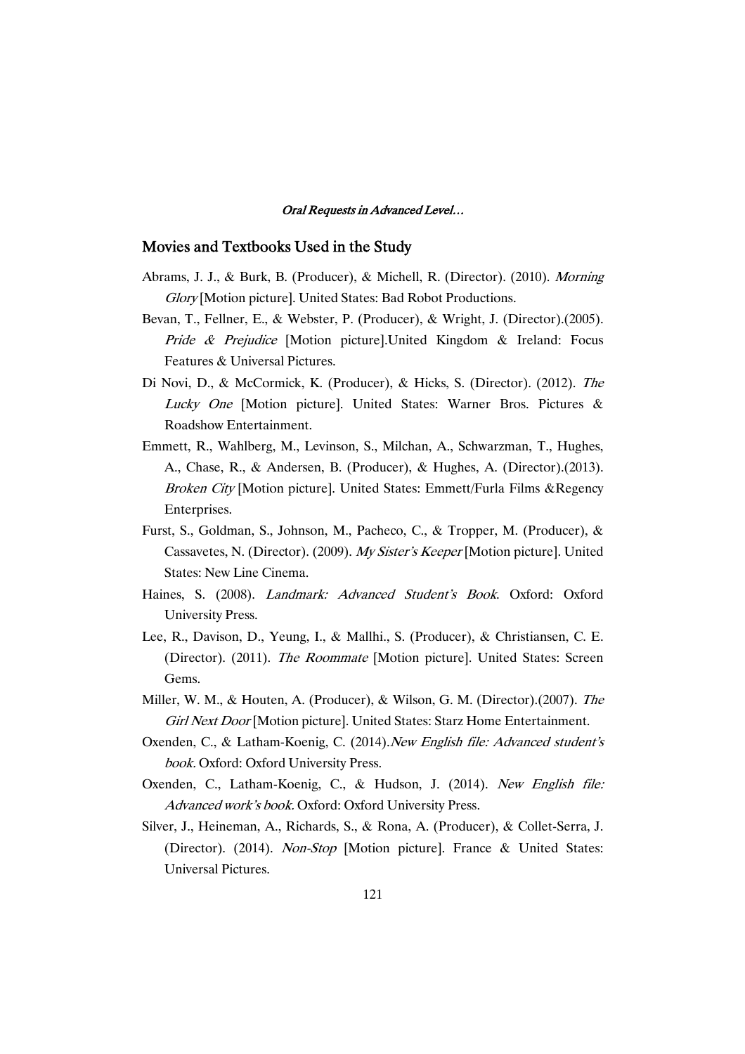### Movies and Textbooks Used in the Study

- Abrams, J. J., & Burk, B. (Producer), & Michell, R. (Director). (2010). Morning Glory [Motion picture]. United States: Bad Robot Productions.
- Bevan, T., Fellner, E., & Webster, P. (Producer), & Wright, J. (Director).(2005). Pride & Prejudice [Motion picture].United Kingdom & Ireland: Focus Features & Universal Pictures.
- Di Novi, D., & McCormick, K. (Producer), & Hicks, S. (Director). (2012). The Lucky One [Motion picture]. United States: Warner Bros. Pictures & Roadshow Entertainment.
- Emmett, R., Wahlberg, M., Levinson, S., Milchan, A., Schwarzman, T., Hughes, A., Chase, R., & Andersen, B. (Producer), & Hughes, A. (Director).(2013). Broken City [Motion picture]. United States: Emmett/Furla Films &Regency Enterprises.
- Furst, S., Goldman, S., Johnson, M., Pacheco, C., & Tropper, M. (Producer), & Cassavetes, N. (Director). (2009). My Sister's Keeper [Motion picture]. United States: New Line Cinema.
- Haines, S. (2008). Landmark: Advanced Student's Book. Oxford: Oxford University Press.
- Lee, R., Davison, D., Yeung, I., & Mallhi., S. (Producer), & Christiansen, C. E. (Director). (2011). The Roommate [Motion picture]. United States: Screen Gems.
- Miller, W. M., & Houten, A. (Producer), & Wilson, G. M. (Director).(2007). The Girl Next Door [Motion picture]. United States: Starz Home Entertainment.
- Oxenden, C., & Latham-Koenig, C. (2014).New English file: Advanced student's book. Oxford: Oxford University Press.
- Oxenden, C., Latham-Koenig, C., & Hudson, J. (2014). New English file: Advanced work's book. Oxford: Oxford University Press.
- Silver, J., Heineman, A., Richards, S., & Rona, A. (Producer), & Collet-Serra, J. (Director). (2014). Non-Stop [Motion picture]. France & United States: Universal Pictures.